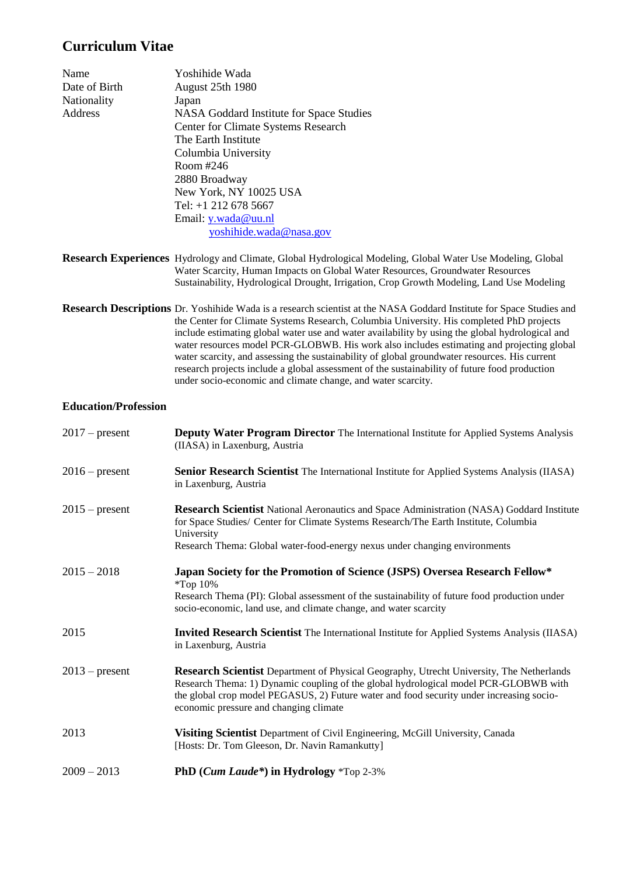# **Curriculum Vitae**

| Name          | Yoshihide Wada                                                                                  |
|---------------|-------------------------------------------------------------------------------------------------|
| Date of Birth | August 25th 1980                                                                                |
| Nationality   | Japan                                                                                           |
| Address       | NASA Goddard Institute for Space Studies                                                        |
|               | <b>Center for Climate Systems Research</b>                                                      |
|               | The Earth Institute                                                                             |
|               | Columbia University                                                                             |
|               | Room #246                                                                                       |
|               | 2880 Broadway                                                                                   |
|               | New York, NY 10025 USA                                                                          |
|               | Tel: $+1$ 212 678 5667                                                                          |
|               | Email: $y$ .wada@uu.nl                                                                          |
|               | yoshihide.wada@nasa.gov                                                                         |
|               |                                                                                                 |
|               | <b>Research Experiences</b> Hydrology and Climate, Global Hydrological Modeling, Global Water I |
|               | Weter Cognity, Human Impacts on Global Weter Deserveses, Groundwe                               |

- **Use Modeling, Global** Water Scarcity, Human Impacts on Global Water Resources, Groundwater Resources Sustainability, Hydrological Drought, Irrigation, Crop Growth Modeling, Land Use Modeling
- **Research Descriptions** Dr. Yoshihide Wada is a research scientist at the NASA Goddard Institute for Space Studies and the Center for Climate Systems Research, Columbia University. His completed PhD projects include estimating global water use and water availability by using the global hydrological and water resources model PCR-GLOBWB. His work also includes estimating and projecting global water scarcity, and assessing the sustainability of global groundwater resources. His current research projects include a global assessment of the sustainability of future food production under socio-economic and climate change, and water scarcity.

## **Education/Profession**

| $2017$ – present | <b>Deputy Water Program Director</b> The International Institute for Applied Systems Analysis<br>(IIASA) in Laxenburg, Austria                                                                                                                                                                                         |
|------------------|------------------------------------------------------------------------------------------------------------------------------------------------------------------------------------------------------------------------------------------------------------------------------------------------------------------------|
| $2016$ – present | <b>Senior Research Scientist</b> The International Institute for Applied Systems Analysis (IIASA)<br>in Laxenburg, Austria                                                                                                                                                                                             |
| $2015$ – present | <b>Research Scientist</b> National Aeronautics and Space Administration (NASA) Goddard Institute<br>for Space Studies/ Center for Climate Systems Research/The Earth Institute, Columbia<br>University<br>Research Thema: Global water-food-energy nexus under changing environments                                   |
| $2015 - 2018$    | Japan Society for the Promotion of Science (JSPS) Oversea Research Fellow*<br>$*Top 10\%$<br>Research Thema (PI): Global assessment of the sustainability of future food production under<br>socio-economic, land use, and climate change, and water scarcity                                                          |
| 2015             | Invited Research Scientist The International Institute for Applied Systems Analysis (IIASA)<br>in Laxenburg, Austria                                                                                                                                                                                                   |
| $2013$ – present | Research Scientist Department of Physical Geography, Utrecht University, The Netherlands<br>Research Thema: 1) Dynamic coupling of the global hydrological model PCR-GLOBWB with<br>the global crop model PEGASUS, 2) Future water and food security under increasing socio-<br>economic pressure and changing climate |
| 2013             | <b>Visiting Scientist</b> Department of Civil Engineering, McGill University, Canada<br>[Hosts: Dr. Tom Gleeson, Dr. Navin Ramankutty]                                                                                                                                                                                 |
| $2009 - 2013$    | PhD ( <i>Cum Laude*</i> ) in Hydrology *Top 2-3%                                                                                                                                                                                                                                                                       |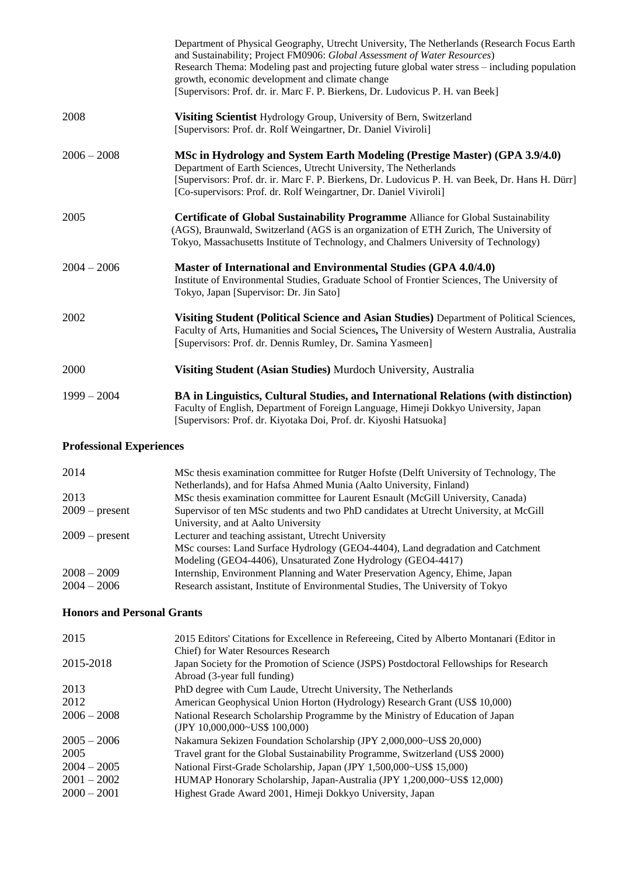|               | Department of Physical Geography, Utrecht University, The Netherlands (Research Focus Earth<br>and Sustainability; Project FM0906: Global Assessment of Water Resources)<br>Research Thema: Modeling past and projecting future global water stress – including population<br>growth, economic development and climate change<br>[Supervisors: Prof. dr. ir. Marc F. P. Bierkens, Dr. Ludovicus P. H. van Beek] |
|---------------|-----------------------------------------------------------------------------------------------------------------------------------------------------------------------------------------------------------------------------------------------------------------------------------------------------------------------------------------------------------------------------------------------------------------|
| 2008          | Visiting Scientist Hydrology Group, University of Bern, Switzerland<br>[Supervisors: Prof. dr. Rolf Weingartner, Dr. Daniel Viviroli]                                                                                                                                                                                                                                                                           |
| $2006 - 2008$ | MSc in Hydrology and System Earth Modeling (Prestige Master) (GPA 3.9/4.0)<br>Department of Earth Sciences, Utrecht University, The Netherlands<br>[Supervisors: Prof. dr. ir. Marc F. P. Bierkens, Dr. Ludovicus P. H. van Beek, Dr. Hans H. Dürr]<br>[Co-supervisors: Prof. dr. Rolf Weingartner, Dr. Daniel Viviroli]                                                                                        |
| 2005          | <b>Certificate of Global Sustainability Programme Alliance for Global Sustainability</b><br>(AGS), Braunwald, Switzerland (AGS is an organization of ETH Zurich, The University of<br>Tokyo, Massachusetts Institute of Technology, and Chalmers University of Technology)                                                                                                                                      |
| $2004 - 2006$ | Master of International and Environmental Studies (GPA 4.0/4.0)<br>Institute of Environmental Studies, Graduate School of Frontier Sciences, The University of<br>Tokyo, Japan [Supervisor: Dr. Jin Sato]                                                                                                                                                                                                       |
| 2002          | Visiting Student (Political Science and Asian Studies) Department of Political Sciences,<br>Faculty of Arts, Humanities and Social Sciences, The University of Western Australia, Australia<br>[Supervisors: Prof. dr. Dennis Rumley, Dr. Samina Yasmeen]                                                                                                                                                       |
| 2000          | Visiting Student (Asian Studies) Murdoch University, Australia                                                                                                                                                                                                                                                                                                                                                  |
| $1999 - 2004$ | BA in Linguistics, Cultural Studies, and International Relations (with distinction)<br>Faculty of English, Department of Foreign Language, Himeji Dokkyo University, Japan<br>[Supervisors: Prof. dr. Kiyotaka Doi, Prof. dr. Kiyoshi Hatsuoka]                                                                                                                                                                 |

## **Professional Experiences**

| 2014             | MSc thesis examination committee for Rutger Hofste (Delft University of Technology, The |
|------------------|-----------------------------------------------------------------------------------------|
|                  | Netherlands), and for Hafsa Ahmed Munia (Aalto University, Finland)                     |
| 2013             | MSc thesis examination committee for Laurent Esnault (McGill University, Canada)        |
| $2009$ – present | Supervisor of ten MSc students and two PhD candidates at Utrecht University, at McGill  |
|                  | University, and at Aalto University                                                     |
| $2009$ – present | Lecturer and teaching assistant, Utrecht University                                     |
|                  | MSc courses: Land Surface Hydrology (GEO4-4404), Land degradation and Catchment         |
|                  | Modeling (GEO4-4406), Unsaturated Zone Hydrology (GEO4-4417)                            |
| $2008 - 2009$    | Internship, Environment Planning and Water Preservation Agency, Ehime, Japan            |
| $2004 - 2006$    | Research assistant, Institute of Environmental Studies, The University of Tokyo         |

## **Honors and Personal Grants**

| 2015          | 2015 Editors' Citations for Excellence in Refereeing, Cited by Alberto Montanari (Editor in |
|---------------|---------------------------------------------------------------------------------------------|
|               | Chief) for Water Resources Research                                                         |
| 2015-2018     | Japan Society for the Promotion of Science (JSPS) Postdoctoral Fellowships for Research     |
|               | Abroad (3-year full funding)                                                                |
| 2013          | PhD degree with Cum Laude, Utrecht University, The Netherlands                              |
| 2012          | American Geophysical Union Horton (Hydrology) Research Grant (US\$ 10,000)                  |
| $2006 - 2008$ | National Research Scholarship Programme by the Ministry of Education of Japan               |
|               | (JPY 10,000,000~US\$ 100,000)                                                               |
| $2005 - 2006$ | Nakamura Sekizen Foundation Scholarship (JPY 2,000,000~US\$ 20,000)                         |
| 2005          | Travel grant for the Global Sustainability Programme, Switzerland (US\$ 2000)               |
| $2004 - 2005$ | National First-Grade Scholarship, Japan (JPY 1,500,000~US\$ 15,000)                         |
| $2001 - 2002$ | HUMAP Honorary Scholarship, Japan-Australia (JPY 1,200,000~US\$ 12,000)                     |
| $2000 - 2001$ | Highest Grade Award 2001, Himeji Dokkyo University, Japan                                   |
|               |                                                                                             |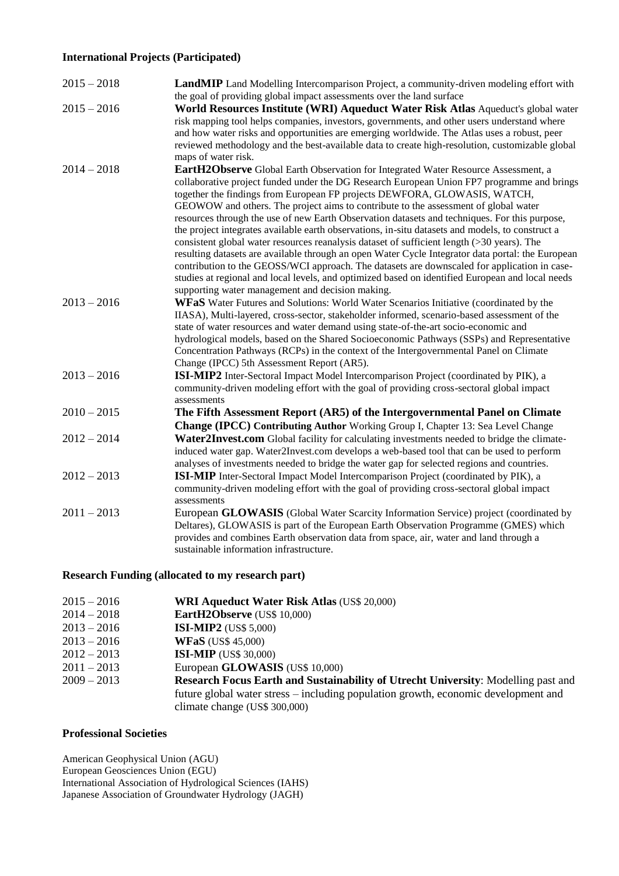## **International Projects (Participated)**

| $2015 - 2018$ | <b>LandMIP</b> Land Modelling Intercomparison Project, a community-driven modeling effort with<br>the goal of providing global impact assessments over the land surface                                                                                                                                                                                                                                                                                                                                                                                                                                                                                                                                                                                                                                                                                                                                                                                                                                                 |
|---------------|-------------------------------------------------------------------------------------------------------------------------------------------------------------------------------------------------------------------------------------------------------------------------------------------------------------------------------------------------------------------------------------------------------------------------------------------------------------------------------------------------------------------------------------------------------------------------------------------------------------------------------------------------------------------------------------------------------------------------------------------------------------------------------------------------------------------------------------------------------------------------------------------------------------------------------------------------------------------------------------------------------------------------|
| $2015 - 2016$ | World Resources Institute (WRI) Aqueduct Water Risk Atlas Aqueduct's global water<br>risk mapping tool helps companies, investors, governments, and other users understand where<br>and how water risks and opportunities are emerging worldwide. The Atlas uses a robust, peer<br>reviewed methodology and the best-available data to create high-resolution, customizable global<br>maps of water risk.                                                                                                                                                                                                                                                                                                                                                                                                                                                                                                                                                                                                               |
| $2014 - 2018$ | EartH2Observe Global Earth Observation for Integrated Water Resource Assessment, a<br>collaborative project funded under the DG Research European Union FP7 programme and brings<br>together the findings from European FP projects DEWFORA, GLOWASIS, WATCH,<br>GEOWOW and others. The project aims to contribute to the assessment of global water<br>resources through the use of new Earth Observation datasets and techniques. For this purpose,<br>the project integrates available earth observations, in-situ datasets and models, to construct a<br>consistent global water resources reanalysis dataset of sufficient length $($ >30 years). The<br>resulting datasets are available through an open Water Cycle Integrator data portal: the European<br>contribution to the GEOSS/WCI approach. The datasets are downscaled for application in case-<br>studies at regional and local levels, and optimized based on identified European and local needs<br>supporting water management and decision making. |
| $2013 - 2016$ | WFaS Water Futures and Solutions: World Water Scenarios Initiative (coordinated by the<br>IIASA), Multi-layered, cross-sector, stakeholder informed, scenario-based assessment of the<br>state of water resources and water demand using state-of-the-art socio-economic and<br>hydrological models, based on the Shared Socioeconomic Pathways (SSPs) and Representative<br>Concentration Pathways (RCPs) in the context of the Intergovernmental Panel on Climate<br>Change (IPCC) 5th Assessment Report (AR5).                                                                                                                                                                                                                                                                                                                                                                                                                                                                                                       |
| $2013 - 2016$ | ISI-MIP2 Inter-Sectoral Impact Model Intercomparison Project (coordinated by PIK), a<br>community-driven modeling effort with the goal of providing cross-sectoral global impact<br>assessments                                                                                                                                                                                                                                                                                                                                                                                                                                                                                                                                                                                                                                                                                                                                                                                                                         |
| $2010 - 2015$ | The Fifth Assessment Report (AR5) of the Intergovernmental Panel on Climate                                                                                                                                                                                                                                                                                                                                                                                                                                                                                                                                                                                                                                                                                                                                                                                                                                                                                                                                             |
| $2012 - 2014$ | Change (IPCC) Contributing Author Working Group I, Chapter 13: Sea Level Change<br>Water2Invest.com Global facility for calculating investments needed to bridge the climate-<br>induced water gap. Water2Invest.com develops a web-based tool that can be used to perform                                                                                                                                                                                                                                                                                                                                                                                                                                                                                                                                                                                                                                                                                                                                              |
| $2012 - 2013$ | analyses of investments needed to bridge the water gap for selected regions and countries.<br><b>ISI-MIP</b> Inter-Sectoral Impact Model Intercomparison Project (coordinated by PIK), a<br>community-driven modeling effort with the goal of providing cross-sectoral global impact<br>assessments                                                                                                                                                                                                                                                                                                                                                                                                                                                                                                                                                                                                                                                                                                                     |
| $2011 - 2013$ | European GLOWASIS (Global Water Scarcity Information Service) project (coordinated by<br>Deltares), GLOWASIS is part of the European Earth Observation Programme (GMES) which<br>provides and combines Earth observation data from space, air, water and land through a<br>sustainable information infrastructure.                                                                                                                                                                                                                                                                                                                                                                                                                                                                                                                                                                                                                                                                                                      |

## **Research Funding (allocated to my research part)**

| $2015 - 2016$ | <b>WRI Aqueduct Water Risk Atlas (US\$ 20,000)</b>                                       |
|---------------|------------------------------------------------------------------------------------------|
| $2014 - 2018$ | EartH2Observe (US\$ 10,000)                                                              |
| $2013 - 2016$ | <b>ISI-MIP2</b> (US\$ 5,000)                                                             |
| $2013 - 2016$ | <b>WFaS</b> (US\$ 45,000)                                                                |
| $2012 - 2013$ | <b>ISI-MIP</b> (US\$ 30,000)                                                             |
| $2011 - 2013$ | European GLOWASIS (US\$ 10,000)                                                          |
| $2009 - 2013$ | <b>Research Focus Earth and Sustainability of Utrecht University: Modelling past and</b> |
|               | future global water stress – including population growth, economic development and       |
|               | climate change (US\$ 300,000)                                                            |

## **Professional Societies**

American Geophysical Union (AGU) European Geosciences Union (EGU) International Association of Hydrological Sciences (IAHS) Japanese Association of Groundwater Hydrology (JAGH)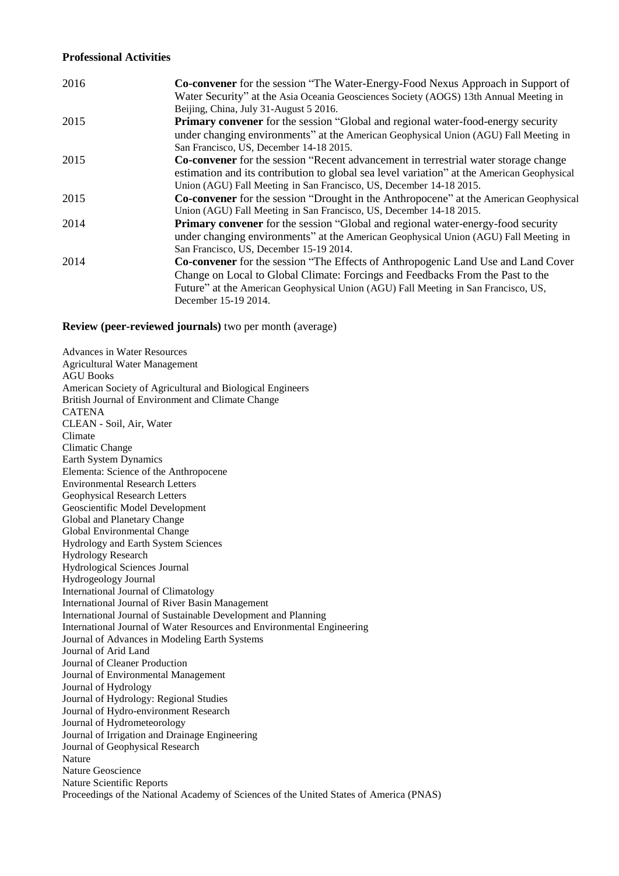### **Professional Activities**

| 2016 | <b>Co-convener</b> for the session "The Water-Energy-Food Nexus Approach in Support of<br>Water Security" at the Asia Oceania Geosciences Society (AOGS) 13th Annual Meeting in |
|------|---------------------------------------------------------------------------------------------------------------------------------------------------------------------------------|
| 2015 | Beijing, China, July 31-August 5 2016.<br><b>Primary convener</b> for the session "Global and regional water-food-energy security                                               |
|      | under changing environments" at the American Geophysical Union (AGU) Fall Meeting in<br>San Francisco, US, December 14-18 2015.                                                 |
| 2015 | <b>Co-convener</b> for the session "Recent advancement in terrestrial water storage change                                                                                      |
|      | estimation and its contribution to global sea level variation" at the American Geophysical                                                                                      |
|      | Union (AGU) Fall Meeting in San Francisco, US, December 14-18 2015.                                                                                                             |
| 2015 | <b>Co-convener</b> for the session "Drought in the Anthropocene" at the American Geophysical                                                                                    |
|      | Union (AGU) Fall Meeting in San Francisco, US, December 14-18 2015.                                                                                                             |
| 2014 | <b>Primary convener</b> for the session "Global and regional water-energy-food security                                                                                         |
|      | under changing environments" at the American Geophysical Union (AGU) Fall Meeting in                                                                                            |
|      | San Francisco, US, December 15-19 2014.                                                                                                                                         |
| 2014 | <b>Co-convener</b> for the session "The Effects of Anthropogenic Land Use and Land Cover                                                                                        |
|      | Change on Local to Global Climate: Forcings and Feedbacks From the Past to the                                                                                                  |
|      | Future" at the American Geophysical Union (AGU) Fall Meeting in San Francisco, US,                                                                                              |
|      | December 15-19 2014.                                                                                                                                                            |

**Review (peer-reviewed journals)** two per month (average)

Advances in Water Resources Agricultural Water Management AGU Books American Society of Agricultural and Biological Engineers British Journal of Environment and Climate Change CATENA CLEAN - Soil, Air, Water Climate Climatic Change Earth System Dynamics Elementa: Science of the Anthropocene Environmental Research Letters Geophysical Research Letters Geoscientific Model Development Global and Planetary Change Global Environmental Change Hydrology and Earth System Sciences Hydrology Research Hydrological Sciences Journal Hydrogeology Journal International Journal of Climatology International Journal of River Basin Management International Journal of Sustainable Development and Planning International Journal of Water Resources and Environmental Engineering Journal of Advances in Modeling Earth Systems Journal of Arid Land Journal of Cleaner Production Journal of Environmental Management Journal of Hydrology Journal of Hydrology: Regional Studies Journal of Hydro-environment Research Journal of Hydrometeorology Journal of Irrigation and Drainage Engineering Journal of Geophysical Research Nature Nature Geoscience Nature Scientific Reports Proceedings of the National Academy of Sciences of the United States of America (PNAS)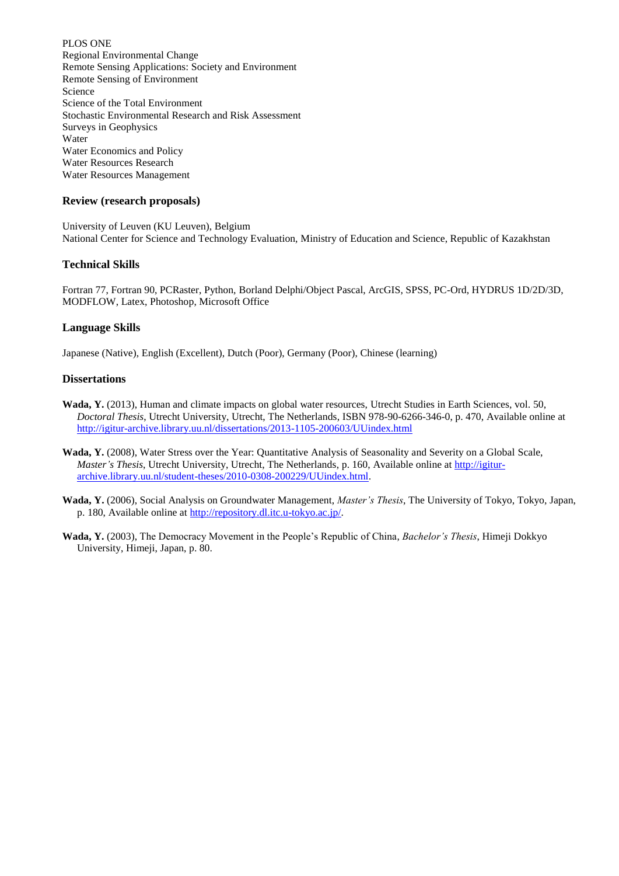PLOS ONE Regional Environmental Change Remote Sensing Applications: Society and Environment Remote Sensing of Environment Science Science of the Total Environment Stochastic Environmental Research and Risk Assessment Surveys in Geophysics Water Water Economics and Policy Water Resources Research Water Resources Management

#### **Review (research proposals)**

University of Leuven (KU Leuven), Belgium National Center for Science and Technology Evaluation, Ministry of Education and Science, Republic of Kazakhstan

### **Technical Skills**

Fortran 77, Fortran 90, PCRaster, Python, Borland Delphi/Object Pascal, ArcGIS, SPSS, PC-Ord, HYDRUS 1D/2D/3D, MODFLOW, Latex, Photoshop, Microsoft Office

#### **Language Skills**

Japanese (Native), English (Excellent), Dutch (Poor), Germany (Poor), Chinese (learning)

#### **Dissertations**

- **Wada, Y.** (2013), Human and climate impacts on global water resources, Utrecht Studies in Earth Sciences, vol. 50, *Doctoral Thesis*, Utrecht University, Utrecht, The Netherlands, ISBN 978-90-6266-346-0, p. 470, Available online at <http://igitur-archive.library.uu.nl/dissertations/2013-1105-200603/UUindex.html>
- **Wada, Y.** (2008), Water Stress over the Year: Quantitative Analysis of Seasonality and Severity on a Global Scale, *Master's Thesis*, Utrecht University, Utrecht, The Netherlands, p. 160, Available online at [http://igitur](http://igitur-archive.library.uu.nl/student-theses/2010-0308-200229/UUindex.html)[archive.library.uu.nl/student-theses/2010-0308-200229/UUindex.html.](http://igitur-archive.library.uu.nl/student-theses/2010-0308-200229/UUindex.html)
- **Wada, Y.** (2006), Social Analysis on Groundwater Management, *Master's Thesis*, The University of Tokyo, Tokyo, Japan, p. 180, Available online at [http://repository.dl.itc.u-tokyo.ac.jp/.](http://repository.dl.itc.u-tokyo.ac.jp/)
- **Wada, Y.** (2003), The Democracy Movement in the People's Republic of China, *Bachelor's Thesis*, Himeji Dokkyo University, Himeji, Japan, p. 80.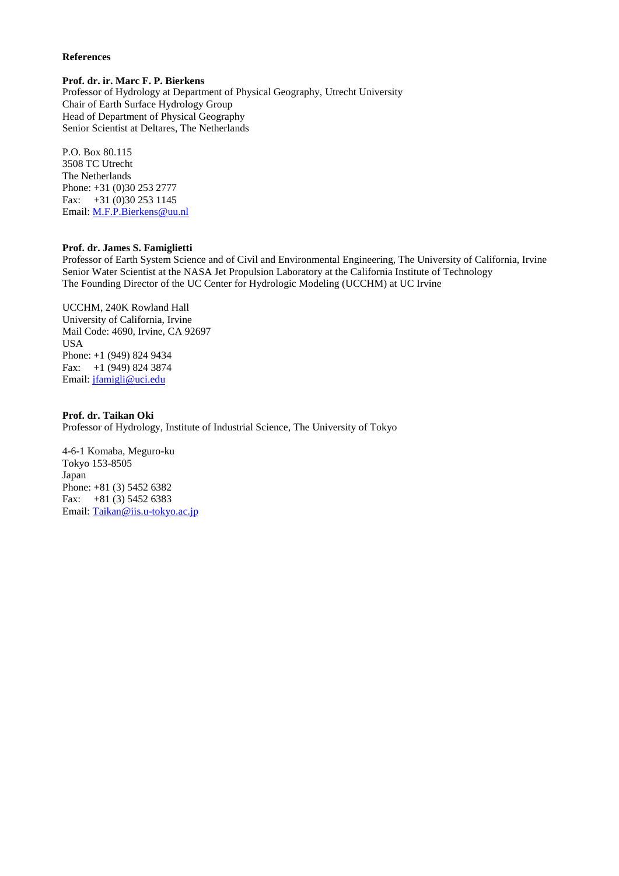#### **References**

#### **Prof. dr. ir. Marc F. P. Bierkens**

Professor of Hydrology at Department of Physical Geography, Utrecht University Chair of Earth Surface Hydrology Group Head of Department of Physical Geography Senior Scientist at Deltares, The Netherlands

P.O. Box 80.115 3508 TC Utrecht The Netherlands Phone: +31 (0)30 253 2777 Fax: +31 (0)30 253 1145 Email: [M.F.P.Bierkens@uu.nl](mailto:M.F.P.Bierkens@uu.nl)

#### **Prof. dr. James S. Famiglietti**

Professor of Earth System Science and of Civil and Environmental Engineering, The University of California, Irvine Senior Water Scientist at the NASA Jet Propulsion Laboratory at the California Institute of Technology The Founding Director of the UC Center for Hydrologic Modeling (UCCHM) at UC Irvine

UCCHM, 240K Rowland Hall University of California, Irvine Mail Code: 4690, Irvine, CA 92697 USA Phone: +1 (949) 824 9434 Fax: +1 (949) 824 3874 Email: [jfamigli@uci.edu](mailto:jfamigli@uci.edu)

#### **Prof. dr. Taikan Oki**

Professor of Hydrology, Institute of Industrial Science, The University of Tokyo

4-6-1 Komaba, Meguro-ku Tokyo 153-8505 Japan Phone: +81 (3) 5452 6382 Fax:  $+81$  (3) 5452 6383 Email: [Taikan@iis.u-tokyo.ac.jp](mailto:Taikan@iis.u-tokyo.ac.jp)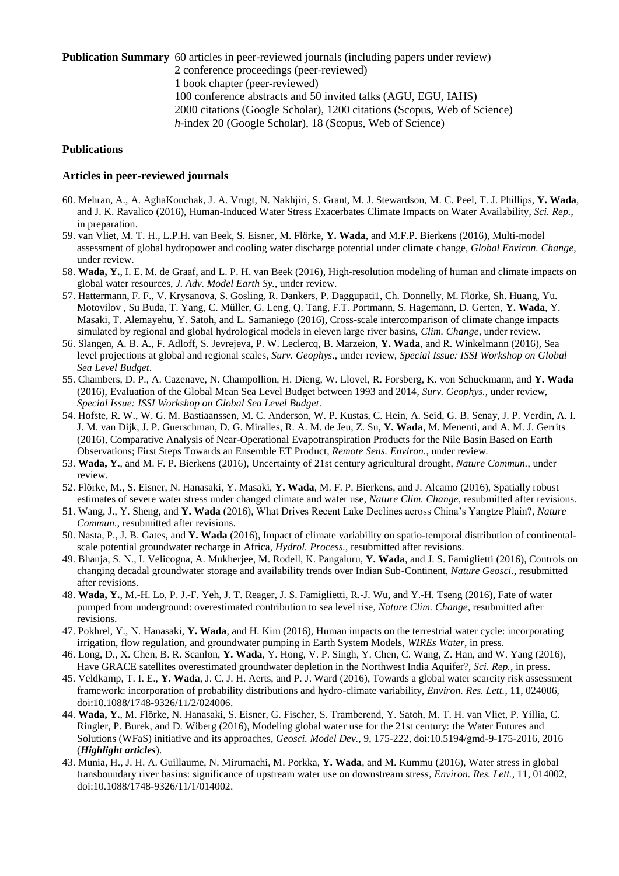**Publication Summary** 60 articles in peer-reviewed journals (including papers under review) 2 conference proceedings (peer-reviewed) 1 book chapter (peer-reviewed) 100 conference abstracts and 50 invited talks (AGU, EGU, IAHS) 2000 citations (Google Scholar), 1200 citations (Scopus, Web of Science) *h*-index 20 (Google Scholar), 18 (Scopus, Web of Science)

#### **Publications**

### **Articles in peer-reviewed journals**

- 60. Mehran, A., A. AghaKouchak, J. A. Vrugt, N. Nakhjiri, S. Grant, M. J. Stewardson, M. C. Peel, T. J. Phillips, **Y. Wada**, and J. K. Ravalico (2016), Human-Induced Water Stress Exacerbates Climate Impacts on Water Availability, *Sci. Rep.*, in preparation.
- 59. van Vliet, M. T. H., L.P.H. van Beek, S. Eisner, M. Flörke, **Y. Wada**, and M.F.P. Bierkens (2016), Multi-model assessment of global hydropower and cooling water discharge potential under climate change, *Global Environ. Change*, under review.
- 58. **Wada, Y.**, I. E. M. de Graaf, and L. P. H. van Beek (2016), High-resolution modeling of human and climate impacts on global water resources, *J. Adv. Model Earth Sy.*, under review.
- 57. Hattermann, F. F., V. Krysanova, S. Gosling, R. Dankers, P. Daggupati1, Ch. Donnelly, M. Flörke, Sh. Huang, Yu. Motovilov , Su Buda, T. Yang, C. Müller, G. Leng, Q. Tang, F.T. Portmann, S. Hagemann, D. Gerten, **Y. Wada**, Y. Masaki, T. Alemayehu, Y. Satoh, and L. Samaniego (2016), Cross-scale intercomparison of climate change impacts simulated by regional and global hydrological models in eleven large river basins, *Clim. Change*, under review.
- 56. Slangen, A. B. A., F. Adloff, S. Jevrejeva, P. W. Leclercq, B. Marzeion, **Y. Wada**, and R. Winkelmann (2016), Sea level projections at global and regional scales, *Surv. Geophys.*, under review, *Special Issue: ISSI Workshop on Global Sea Level Budget*.
- 55. Chambers, D. P., A. Cazenave, N. Champollion, H. Dieng, W. Llovel, R. Forsberg, K. von Schuckmann, and **Y. Wada** (2016), Evaluation of the Global Mean Sea Level Budget between 1993 and 2014, *Surv. Geophys.*, under review, *Special Issue: ISSI Workshop on Global Sea Level Budget*.
- 54. Hofste, R. W., W. G. M. Bastiaanssen, M. C. Anderson, W. P. Kustas, C. Hein, A. Seid, G. B. Senay, J. P. Verdin, A. I. J. M. van Dijk, J. P. Guerschman, D. G. Miralles, R. A. M. de Jeu, Z. Su, **Y. Wada**, M. Menenti, and A. M. J. Gerrits (2016), Comparative Analysis of Near-Operational Evapotranspiration Products for the Nile Basin Based on Earth Observations; First Steps Towards an Ensemble ET Product, *Remote Sens. Environ.*, under review.
- 53. **Wada, Y.**, and M. F. P. Bierkens (2016), Uncertainty of 21st century agricultural drought, *Nature Commun.*, under review.
- 52. Flörke, M., S. Eisner, N. Hanasaki, Y. Masaki, **Y. Wada**, M. F. P. Bierkens, and J. Alcamo (2016), Spatially robust estimates of severe water stress under changed climate and water use, *Nature Clim. Change*, resubmitted after revisions.
- 51. Wang, J., Y. Sheng, and **Y. Wada** (2016), What Drives Recent Lake Declines across China's Yangtze Plain?, *Nature Commun.*, resubmitted after revisions.
- 50. Nasta, P., J. B. Gates, and **Y. Wada** (2016), Impact of climate variability on spatio-temporal distribution of continentalscale potential groundwater recharge in Africa, *Hydrol. Process.*, resubmitted after revisions.
- 49. Bhanja, S. N., I. Velicogna, A. Mukherjee, M. Rodell, K. Pangaluru, **Y. Wada**, and J. S. Famiglietti (2016), Controls on changing decadal groundwater storage and availability trends over Indian Sub-Continent, *Nature Geosci.*, resubmitted after revisions.
- 48. **Wada, Y.**, M.-H. Lo, P. J.-F. Yeh, J. T. Reager, J. S. Famiglietti, R.-J. Wu, and Y.-H. Tseng (2016), Fate of water pumped from underground: overestimated contribution to sea level rise, *Nature Clim. Change*, resubmitted after revisions.
- 47. Pokhrel, Y., N. Hanasaki, **Y. Wada**, and H. Kim (2016), Human impacts on the terrestrial water cycle: incorporating irrigation, flow regulation, and groundwater pumping in Earth System Models, *WIREs Water*, in press.
- 46. Long, D., X. Chen, B. R. Scanlon, **Y. Wada**, Y. Hong, V. P. Singh, Y. Chen, C. Wang, Z. Han, and W. Yang (2016), Have GRACE satellites overestimated groundwater depletion in the Northwest India Aquifer?, *Sci. Rep.*, in press.
- 45. Veldkamp, T. I. E., **Y. Wada**, J. C. J. H. Aerts, and P. J. Ward (2016), Towards a global water scarcity risk assessment framework: incorporation of probability distributions and hydro-climate variability, *Environ. Res. Lett.*, 11, 024006, doi:10.1088/1748-9326/11/2/024006.
- 44. **Wada, Y.**, M. Flörke, N. Hanasaki, S. Eisner, G. Fischer, S. Tramberend, Y. Satoh, M. T. H. van Vliet, P. Yillia, C. Ringler, P. Burek, and D. Wiberg (2016), Modeling global water use for the 21st century: the Water Futures and Solutions (WFaS) initiative and its approaches, *Geosci. Model Dev.*, 9, 175-222, doi:10.5194/gmd-9-175-2016, 2016 (*Highlight articles*).
- 43. Munia, H., J. H. A. Guillaume, N. Mirumachi, M. Porkka, **Y. Wada**, and M. Kummu (2016), Water stress in global transboundary river basins: significance of upstream water use on downstream stress, *Environ. Res. Lett.*, 11, 014002, doi:10.1088/1748-9326/11/1/014002.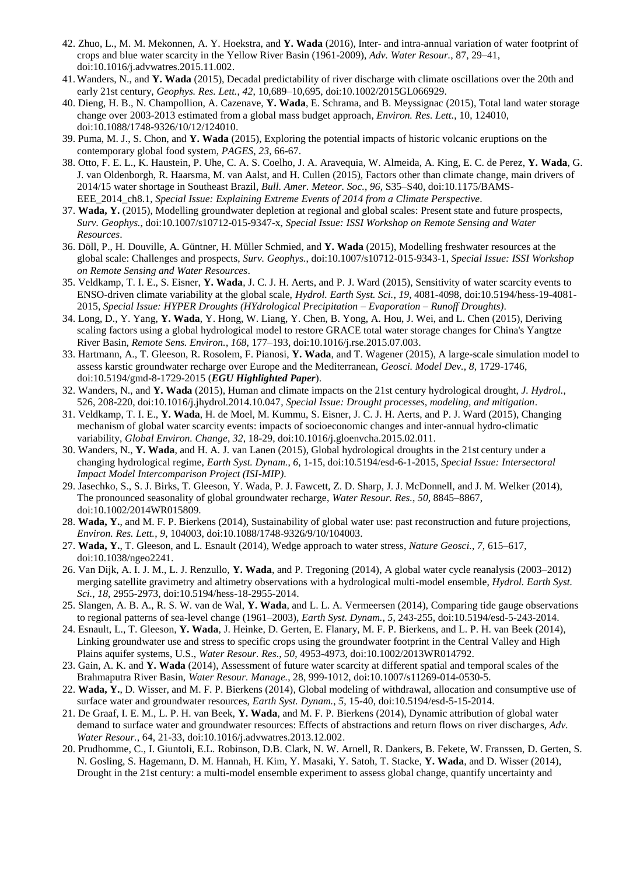- 42. Zhuo, L., M. M. Mekonnen, A. Y. Hoekstra, and **Y. Wada** (2016), Inter- and intra-annual variation of water footprint of crops and blue water scarcity in the Yellow River Basin (1961-2009), *Adv. Water Resour.*, 87, 29–41, doi:10.1016/j.advwatres.2015.11.002.
- 41. Wanders, N., and **Y. Wada** (2015), Decadal predictability of river discharge with climate oscillations over the 20th and early 21st century, *Geophys. Res. Lett.*, *42*, 10,689–10,695, doi:10.1002/2015GL066929.
- 40. Dieng, H. B., N. Champollion, A. Cazenave, **Y. Wada**, E. Schrama, and B. Meyssignac (2015), Total land water storage change over 2003-2013 estimated from a global mass budget approach, *Environ. Res. Lett.*, 10, 124010, doi:10.1088/1748-9326/10/12/124010.
- 39. Puma, M. J., S. Chon, and **Y. Wada** (2015), Exploring the potential impacts of historic volcanic eruptions on the contemporary global food system, *PAGES*, *23*, 66-67.
- 38. Otto, F. E. L., K. Haustein, P. Uhe, C. A. S. Coelho, J. A. Aravequia, W. Almeida, A. King, E. C. de Perez, **Y. Wada**, G. J. van Oldenborgh, R. Haarsma, M. van Aalst, and H. Cullen (2015), Factors other than climate change, main drivers of 2014/15 water shortage in Southeast Brazil, *Bull. Amer. Meteor. Soc.*, *96*, S35–S40, doi:10.1175/BAMS-EEE\_2014\_ch8.1, *Special Issue: Explaining Extreme Events of 2014 from a Climate Perspective*.
- 37. **Wada, Y.** (2015), Modelling groundwater depletion at regional and global scales: Present state and future prospects, *Surv. Geophys.*, doi:10.1007/s10712-015-9347-x, *Special Issue: ISSI Workshop on Remote Sensing and Water Resources*.
- 36. Döll, P., H. Douville, A. Güntner, H. Müller Schmied, and **Y. Wada** (2015), Modelling freshwater resources at the global scale: Challenges and prospects, *Surv. Geophys.*, doi:10.1007/s10712-015-9343-1, *Special Issue: ISSI Workshop on Remote Sensing and Water Resources*.
- 35. Veldkamp, T. I. E., S. Eisner, **Y. Wada**, J. C. J. H. Aerts, and P. J. Ward (2015), Sensitivity of water scarcity events to ENSO-driven climate variability at the global scale, *Hydrol. Earth Syst. Sci.*, *19*, 4081-4098, doi:10.5194/hess-19-4081- 2015, *Special Issue: HYPER Droughts (HYdrological Precipitation – Evaporation – Runoff Droughts)*.
- 34. Long, D., Y. Yang, **Y. Wada**, Y. Hong, W. Liang, Y. Chen, B. Yong, A. Hou, J. Wei, and L. Chen (2015), Deriving scaling factors using a global hydrological model to restore GRACE total water storage changes for China's Yangtze River Basin, *Remote Sens. Environ.*, *168*, 177–193, doi:10.1016/j.rse.2015.07.003.
- 33. Hartmann, A., T. Gleeson, R. Rosolem, F. Pianosi, **Y. Wada**, and T. Wagener (2015), A large-scale simulation model to assess karstic groundwater recharge over Europe and the Mediterranean, *Geosci. Model Dev.*, *8*, 1729-1746, doi:10.5194/gmd-8-1729-2015 (*EGU Highlighted Paper*).
- 32. Wanders, N., and **Y. Wada** (2015), Human and climate impacts on the 21st century hydrological drought, *J. Hydrol.*, 526, 208-220, doi:10.1016/j.jhydrol.2014.10.047, *Special Issue: Drought processes, modeling, and mitigation*.
- 31. Veldkamp, T. I. E., **Y. Wada**, H. de Moel, M. Kummu, S. Eisner, J. C. J. H. Aerts, and P. J. Ward (2015), Changing mechanism of global water scarcity events: impacts of socioeconomic changes and inter-annual hydro-climatic variability, *Global Environ. Change*, *32*, 18-29, doi:10.1016/j.gloenvcha.2015.02.011.
- 30. Wanders, N., **Y. Wada**, and H. A. J. van Lanen (2015), Global hydrological droughts in the 21st century under a changing hydrological regime, *Earth Syst. Dynam.*, *6*, 1-15, doi:10.5194/esd-6-1-2015, *Special Issue: Intersectoral Impact Model Intercomparison Project (ISI-MIP)*.
- 29. Jasechko, S., S. J. Birks, T. Gleeson, Y. Wada, P. J. Fawcett, Z. D. Sharp, J. J. McDonnell, and J. M. Welker (2014), The pronounced seasonality of global groundwater recharge, *Water Resour. Res.*, *50*, 8845–8867, doi:10.1002/2014WR015809.
- 28. **Wada, Y.**, and M. F. P. Bierkens (2014), Sustainability of global water use: past reconstruction and future projections, *Environ. Res. Lett.*, *9*, 104003, doi:10.1088/1748-9326/9/10/104003.
- 27. **Wada, Y.**, T. Gleeson, and L. Esnault (2014), Wedge approach to water stress, *Nature Geosci.*, *7*, 615–617, doi:10.1038/ngeo2241.
- 26. Van Dijk, A. I. J. M., L. J. Renzullo, **Y. Wada**, and P. Tregoning (2014), A global water cycle reanalysis (2003–2012) merging satellite gravimetry and altimetry observations with a hydrological multi-model ensemble, *Hydrol. Earth Syst. Sci.*, *18*, 2955-2973, doi:10.5194/hess-18-2955-2014.
- 25. Slangen, A. B. A., R. S. W. van de Wal, **Y. Wada**, and L. L. A. Vermeersen (2014), Comparing tide gauge observations to regional patterns of sea-level change (1961–2003), *Earth Syst. Dynam.*, *5*, 243-255, doi:10.5194/esd-5-243-2014.
- 24. Esnault, L., T. Gleeson, **Y. Wada**, J. Heinke, D. Gerten, E. Flanary, M. F. P. Bierkens, and L. P. H. van Beek (2014), Linking groundwater use and stress to specific crops using the groundwater footprint in the Central Valley and High Plains aquifer systems, U.S., *Water Resour. Res.*, *50*, 4953-4973, doi:10.1002/2013WR014792.
- 23. Gain, A. K. and **Y. Wada** (2014), Assessment of future water scarcity at different spatial and temporal scales of the Brahmaputra River Basin, *Water Resour. Manage.*, 28, 999-1012, doi:10.1007/s11269-014-0530-5.
- 22. **Wada, Y.**, D. Wisser, and M. F. P. Bierkens (2014), Global modeling of withdrawal, allocation and consumptive use of surface water and groundwater resources, *Earth Syst. Dynam.*, *5*, 15-40, doi:10.5194/esd-5-15-2014.
- 21. De Graaf, I. E. M., L. P. H. van Beek, **Y. Wada**, and M. F. P. Bierkens (2014), Dynamic attribution of global water demand to surface water and groundwater resources: Effects of abstractions and return flows on river discharges, *Adv. Water Resour.*, 64, 21-33, doi:10.1016/j.advwatres.2013.12.002.
- 20. Prudhomme, C., I. Giuntoli, E.L. Robinson, D.B. Clark, N. W. Arnell, R. Dankers, B. Fekete, W. Franssen, D. Gerten, S. N. Gosling, S. Hagemann, D. M. Hannah, H. Kim, Y. Masaki, Y. Satoh, T. Stacke, **Y. Wada**, and D. Wisser (2014), Drought in the 21st century: a multi-model ensemble experiment to assess global change, quantify uncertainty and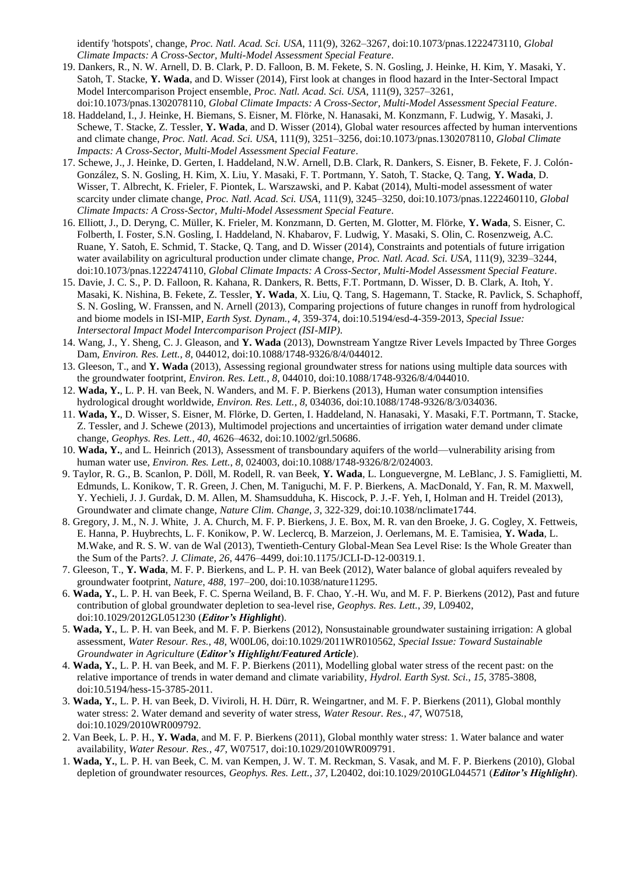identify 'hotspots', change, *Proc. Natl. Acad. Sci. USA*, 111(9), 3262–3267, doi:10.1073/pnas.1222473110, *Global Climate Impacts: A Cross-Sector, Multi-Model Assessment Special Feature*.

- 19. Dankers, R., N. W. Arnell, D. B. Clark, P. D. Falloon, B. M. Fekete, S. N. Gosling, J. Heinke, H. Kim, Y. Masaki, Y. Satoh, T. Stacke, **Y. Wada**, and D. Wisser (2014), First look at changes in flood hazard in the Inter-Sectoral Impact Model Intercomparison Project ensemble, *Proc. Natl. Acad. Sci. USA*, 111(9), 3257–3261, doi:10.1073/pnas.1302078110, *Global Climate Impacts: A Cross-Sector, Multi-Model Assessment Special Feature*.
- 18. Haddeland, I., J. Heinke, H. Biemans, S. Eisner, M. Flörke, N. Hanasaki, M. Konzmann, F. Ludwig, Y. Masaki, J. Schewe, T. Stacke, Z. Tessler, **Y. Wada**, and D. Wisser (2014), Global water resources affected by human interventions and climate change, *Proc. Natl. Acad. Sci. USA*, 111(9), 3251–3256, doi:10.1073/pnas.1302078110, *Global Climate Impacts: A Cross-Sector, Multi-Model Assessment Special Feature*.
- 17. Schewe, J., J. Heinke, D. Gerten, I. Haddeland, N.W. Arnell, D.B. Clark, R. Dankers, S. Eisner, B. Fekete, F. J. Colón-González, S. N. Gosling, H. Kim, X. Liu, Y. Masaki, F. T. Portmann, Y. Satoh, T. Stacke, Q. Tang, **Y. Wada**, D. Wisser, T. Albrecht, K. Frieler, F. Piontek, L. Warszawski, and P. Kabat (2014), Multi-model assessment of water scarcity under climate change, *Proc. Natl. Acad. Sci. USA*, 111(9), 3245–3250, doi:10.1073/pnas.1222460110, *Global Climate Impacts: A Cross-Sector, Multi-Model Assessment Special Feature*.
- 16. Elliott, J., D. Deryng, C. Müller, K. Frieler, M. Konzmann, D. Gerten, M. Glotter, M. Flörke, **Y. Wada**, S. Eisner, C. Folberth, I. Foster, S.N. Gosling, I. Haddeland, N. Khabarov, F. Ludwig, Y. Masaki, S. Olin, C. Rosenzweig, A.C. Ruane, Y. Satoh, E. Schmid, T. Stacke, Q. Tang, and D. Wisser (2014), Constraints and potentials of future irrigation water availability on agricultural production under climate change, *Proc. Natl. Acad. Sci. USA*, 111(9), 3239–3244, doi:10.1073/pnas.1222474110, *Global Climate Impacts: A Cross-Sector, Multi-Model Assessment Special Feature*.
- 15. Davie, J. C. S., P. D. Falloon, R. Kahana, R. Dankers, R. Betts, F.T. Portmann, D. Wisser, D. B. Clark, A. Itoh, Y. Masaki, K. Nishina, B. Fekete, Z. Tessler, **Y. Wada**, X. Liu, Q. Tang, S. Hagemann, T. Stacke, R. Pavlick, S. Schaphoff, S. N. Gosling, W. Franssen, and N. Arnell (2013), Comparing projections of future changes in runoff from hydrological and biome models in ISI-MIP, *Earth Syst. Dynam.*, *4*, 359-374, doi:10.5194/esd-4-359-2013, *Special Issue: Intersectoral Impact Model Intercomparison Project (ISI-MIP)*.
- 14. Wang, J., Y. Sheng, C. J. Gleason, and **Y. Wada** (2013), Downstream Yangtze River Levels Impacted by Three Gorges Dam, *Environ. Res. Lett.*, *8*, 044012, doi:10.1088/1748-9326/8/4/044012.
- 13. Gleeson, T., and **Y. Wada** (2013), Assessing regional groundwater stress for nations using multiple data sources with the groundwater footprint, *Environ. Res. Lett.*, *8*, 044010, doi:10.1088/1748-9326/8/4/044010.
- 12. **Wada, Y.**, L. P. H. van Beek, N. Wanders, and M. F. P. Bierkens (2013), Human water consumption intensifies hydrological drought worldwide, *Environ. Res. Lett.*, *8*, 034036, doi:10.1088/1748-9326/8/3/034036.
- 11. **Wada, Y.**, D. Wisser, S. Eisner, M. Flörke, D. Gerten, I. Haddeland, N. Hanasaki, Y. Masaki, F.T. Portmann, T. Stacke, Z. Tessler, and J. Schewe (2013), Multimodel projections and uncertainties of irrigation water demand under climate change, *Geophys. Res. Lett.*, *40*, 4626–4632, doi:10.1002/grl.50686.
- 10. **Wada, Y.**, and L. Heinrich (2013), Assessment of transboundary aquifers of the world—vulnerability arising from human water use, *Environ. Res. Lett.*, *8*, 024003, doi:10.1088/1748-9326/8/2/024003.
- 9. Taylor, R. G., B. Scanlon, P. Döll, M. Rodell, R. van Beek, **Y. Wada**, L. Longuevergne, M. LeBlanc, J. S. Famiglietti, M. Edmunds, L. Konikow, T. R. Green, J. Chen, M. Taniguchi, M. F. P. Bierkens, A. MacDonald, Y. Fan, R. M. Maxwell, Y. Yechieli, J. J. Gurdak, D. M. Allen, M. Shamsudduha, K. Hiscock, P. J.-F. Yeh, I, Holman and H. Treidel (2013), Groundwater and climate change, *Nature Clim. Change*, *3*, 322-329, doi:10.1038/nclimate1744.
- 8. Gregory, J. M., N. J. White, J. A. Church, M. F. P. Bierkens, J. E. Box, M. R. van den Broeke, J. G. Cogley, X. Fettweis, E. Hanna, P. Huybrechts, L. F. Konikow, P. W. Leclercq, B. Marzeion, J. Oerlemans, M. E. Tamisiea, **Y. Wada**, L. M.Wake, and R. S. W. van de Wal (2013), Twentieth-Century Global-Mean Sea Level Rise: Is the Whole Greater than the Sum of the Parts?. *J. Climate*, *26*, 4476–4499, doi:10.1175/JCLI-D-12-00319.1.
- 7. Gleeson, T., **Y. Wada**, M. F. P. Bierkens, and L. P. H. van Beek (2012), Water balance of global aquifers revealed by groundwater footprint, *Nature*, *488*, 197–200, doi:10.1038/nature11295.
- 6. **Wada, Y.**, L. P. H. van Beek, F. C. Sperna Weiland, B. F. Chao, Y.-H. Wu, and M. F. P. Bierkens (2012), Past and future contribution of global groundwater depletion to sea-level rise, *Geophys. Res. Lett.*, *39*, L09402, doi:10.1029/2012GL051230 (*Editor's Highlight*).
- 5. **Wada, Y.**, L. P. H. van Beek, and M. F. P. Bierkens (2012), Nonsustainable groundwater sustaining irrigation: A global assessment, *Water Resour. Res.*, *48*, W00L06, doi:10.1029/2011WR010562, *Special Issue: Toward Sustainable Groundwater in Agriculture* (*Editor's Highlight/Featured Article*).
- 4. **Wada, Y.**, L. P. H. van Beek, and M. F. P. Bierkens (2011), Modelling global water stress of the recent past: on the relative importance of trends in water demand and climate variability, *Hydrol. Earth Syst. Sci.*, *15*, 3785-3808, doi:10.5194/hess-15-3785-2011.
- 3. **Wada, Y.**, L. P. H. van Beek, D. Viviroli, H. H. Dürr, R. Weingartner, and M. F. P. Bierkens (2011), Global monthly water stress: 2. Water demand and severity of water stress, *Water Resour. Res.*, *47*, W07518, doi:10.1029/2010WR009792.
- 2. Van Beek, L. P. H., **Y. Wada**, and M. F. P. Bierkens (2011), Global monthly water stress: 1. Water balance and water availability, *Water Resour. Res.*, *47*, W07517, doi:10.1029/2010WR009791.
- 1. **Wada, Y.**, L. P. H. van Beek, C. M. van Kempen, J. W. T. M. Reckman, S. Vasak, and M. F. P. Bierkens (2010), Global depletion of groundwater resources, *Geophys. Res. Lett.*, *37*, L20402, doi:10.1029/2010GL044571 (*Editor's Highlight*).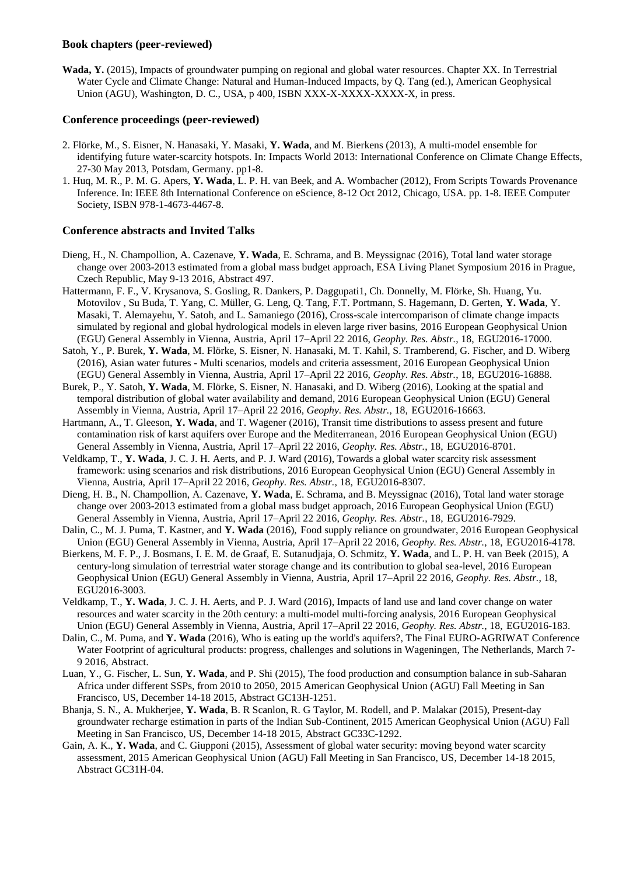#### **Book chapters (peer-reviewed)**

**Wada, Y.** (2015), Impacts of groundwater pumping on regional and global water resources. Chapter XX. In Terrestrial Water Cycle and Climate Change: Natural and Human-Induced Impacts, by Q. Tang (ed.), American Geophysical Union (AGU), Washington, D. C., USA, p 400, ISBN XXX-X-XXXX-XXXX-X, in press.

### **Conference proceedings (peer-reviewed)**

- 2. Flörke, M., S. Eisner, N. Hanasaki, Y. Masaki, **Y. Wada**, and M. Bierkens (2013), A multi-model ensemble for identifying future water-scarcity hotspots. In: Impacts World 2013: International Conference on Climate Change Effects, 27-30 May 2013, Potsdam, Germany. pp1-8.
- 1. Huq, M. R., P. M. G. Apers, **Y. Wada**, L. P. H. van Beek, and A. Wombacher (2012), From Scripts Towards Provenance Inference. In: IEEE 8th International Conference on eScience, 8-12 Oct 2012, Chicago, USA. pp. 1-8. IEEE Computer Society, ISBN 978-1-4673-4467-8.

## **Conference abstracts and Invited Talks**

- Dieng, H., N. Champollion, A. Cazenave, **Y. Wada**, E. Schrama, and B. Meyssignac (2016), Total land water storage change over 2003-2013 estimated from a global mass budget approach, ESA Living Planet Symposium 2016 in Prague, Czech Republic, May 9-13 2016, Abstract 497.
- Hattermann, F. F., V. Krysanova, S. Gosling, R. Dankers, P. Daggupati1, Ch. Donnelly, M. Flörke, Sh. Huang, Yu. Motovilov , Su Buda, T. Yang, C. Müller, G. Leng, Q. Tang, F.T. Portmann, S. Hagemann, D. Gerten, **Y. Wada**, Y. Masaki, T. Alemayehu, Y. Satoh, and L. Samaniego (2016), Cross-scale intercomparison of climate change impacts simulated by regional and global hydrological models in eleven large river basins, 2016 European Geophysical Union (EGU) General Assembly in Vienna, Austria, April 17–April 22 2016, *Geophy. Res. Abstr.*, 18, EGU2016-17000.
- Satoh, Y., P. Burek, **Y. Wada**, M. Flörke, S. Eisner, N. Hanasaki, M. T. Kahil, S. Tramberend, G. Fischer, and D. Wiberg (2016), Asian water futures - Multi scenarios, models and criteria assessment, 2016 European Geophysical Union (EGU) General Assembly in Vienna, Austria, April 17–April 22 2016, *Geophy. Res. Abstr.*, 18, EGU2016-16888.
- Burek, P., Y. Satoh, **Y. Wada**, M. Flörke, S. Eisner, N. Hanasaki, and D. Wiberg (2016), Looking at the spatial and temporal distribution of global water availability and demand, 2016 European Geophysical Union (EGU) General Assembly in Vienna, Austria, April 17–April 22 2016, *Geophy. Res. Abstr.*, 18, EGU2016-16663.
- Hartmann, A., T. Gleeson, **Y. Wada**, and T. Wagener (2016), Transit time distributions to assess present and future contamination risk of karst aquifers over Europe and the Mediterranean, 2016 European Geophysical Union (EGU) General Assembly in Vienna, Austria, April 17–April 22 2016, *Geophy. Res. Abstr.*, 18, EGU2016-8701.
- Veldkamp, T., **Y. Wada**, J. C. J. H. Aerts, and P. J. Ward (2016), Towards a global water scarcity risk assessment framework: using scenarios and risk distributions, 2016 European Geophysical Union (EGU) General Assembly in Vienna, Austria, April 17–April 22 2016, *Geophy. Res. Abstr.*, 18, EGU2016-8307.
- Dieng, H. B., N. Champollion, A. Cazenave, **Y. Wada**, E. Schrama, and B. Meyssignac (2016), Total land water storage change over 2003-2013 estimated from a global mass budget approach, 2016 European Geophysical Union (EGU) General Assembly in Vienna, Austria, April 17–April 22 2016, *Geophy. Res. Abstr.*, 18, EGU2016-7929.
- Dalin, C., M. J. Puma, T. Kastner, and **Y. Wada** (2016), Food supply reliance on groundwater, 2016 European Geophysical Union (EGU) General Assembly in Vienna, Austria, April 17–April 22 2016, *Geophy. Res. Abstr.*, 18, EGU2016-4178.
- Bierkens, M. F. P., J. Bosmans, I. E. M. de Graaf, E. Sutanudjaja, O. Schmitz, **Y. Wada**, and L. P. H. van Beek (2015), A century-long simulation of terrestrial water storage change and its contribution to global sea-level, 2016 European Geophysical Union (EGU) General Assembly in Vienna, Austria, April 17–April 22 2016, *Geophy. Res. Abstr.*, 18, EGU2016-3003.
- Veldkamp, T., **Y. Wada**, J. C. J. H. Aerts, and P. J. Ward (2016), Impacts of land use and land cover change on water resources and water scarcity in the 20th century: a multi-model multi-forcing analysis, 2016 European Geophysical Union (EGU) General Assembly in Vienna, Austria, April 17–April 22 2016, *Geophy. Res. Abstr.*, 18, EGU2016-183.
- Dalin, C., M. Puma, and **Y. Wada** (2016), Who is eating up the world's aquifers?, The Final EURO-AGRIWAT Conference Water Footprint of agricultural products: progress, challenges and solutions in Wageningen, The Netherlands, March 7- 9 2016, Abstract.
- Luan, Y., G. Fischer, L. Sun, **Y. Wada**, and P. Shi (2015), The food production and consumption balance in sub-Saharan Africa under different SSPs, from 2010 to 2050, 2015 American Geophysical Union (AGU) Fall Meeting in San Francisco, US, December 14-18 2015, Abstract GC13H-1251.
- Bhanja, S. N., A. Mukherjee, **Y. Wada**, B. R Scanlon, R. G Taylor, M. Rodell, and P. Malakar (2015), Present-day groundwater recharge estimation in parts of the Indian Sub-Continent, 2015 American Geophysical Union (AGU) Fall Meeting in San Francisco, US, December 14-18 2015, Abstract GC33C-1292.
- Gain, A. K., **Y. Wada**, and C. Giupponi (2015), Assessment of global water security: moving beyond water scarcity assessment, 2015 American Geophysical Union (AGU) Fall Meeting in San Francisco, US, December 14-18 2015, Abstract GC31H-04.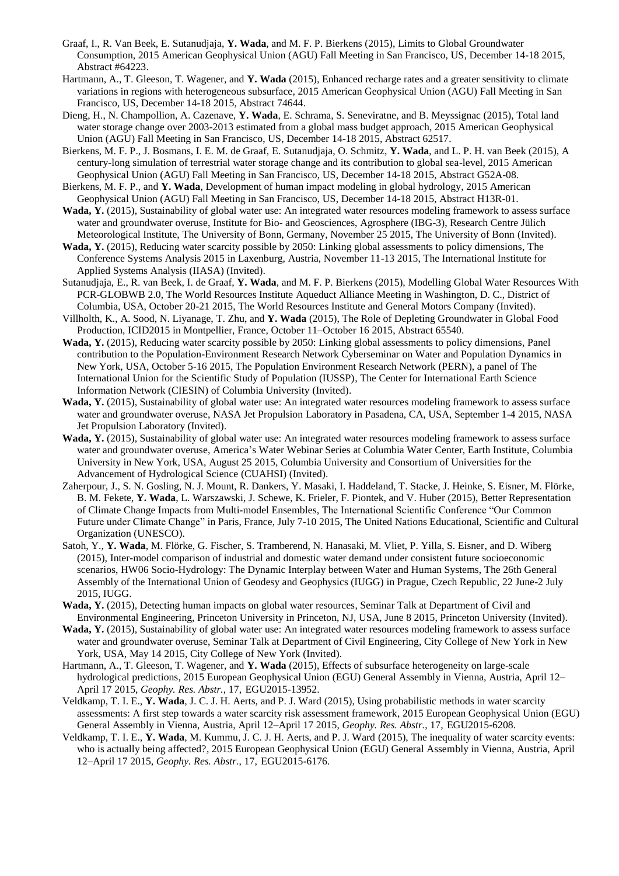- Graaf, I., R. Van Beek, E. Sutanudjaja, **Y. Wada**, and M. F. P. Bierkens (2015), Limits to Global Groundwater Consumption, 2015 American Geophysical Union (AGU) Fall Meeting in San Francisco, US, December 14-18 2015, Abstract #64223.
- Hartmann, A., T. Gleeson, T. Wagener, and **Y. Wada** (2015), Enhanced recharge rates and a greater sensitivity to climate variations in regions with heterogeneous subsurface, 2015 American Geophysical Union (AGU) Fall Meeting in San Francisco, US, December 14-18 2015, Abstract 74644.
- Dieng, H., N. Champollion, A. Cazenave, **Y. Wada**, E. Schrama, S. Seneviratne, and B. Meyssignac (2015), Total land water storage change over 2003-2013 estimated from a global mass budget approach, 2015 American Geophysical Union (AGU) Fall Meeting in San Francisco, US, December 14-18 2015, Abstract 62517.
- Bierkens, M. F. P., J. Bosmans, I. E. M. de Graaf, E. Sutanudjaja, O. Schmitz, **Y. Wada**, and L. P. H. van Beek (2015), A century-long simulation of terrestrial water storage change and its contribution to global sea-level, 2015 American Geophysical Union (AGU) Fall Meeting in San Francisco, US, December 14-18 2015, Abstract G52A-08.
- Bierkens, M. F. P., and **Y. Wada**, Development of human impact modeling in global hydrology, 2015 American Geophysical Union (AGU) Fall Meeting in San Francisco, US, December 14-18 2015, Abstract H13R-01.
- **Wada, Y.** (2015), Sustainability of global water use: An integrated water resources modeling framework to assess surface water and groundwater overuse, Institute for Bio- and Geosciences, Agrosphere (IBG-3), Research Centre Jülich Meteorological Institute, The University of Bonn, Germany, November 25 2015, The University of Bonn (Invited).
- **Wada, Y.** (2015), Reducing water scarcity possible by 2050: Linking global assessments to policy dimensions, The Conference Systems Analysis 2015 in Laxenburg, Austria, November 11-13 2015, The International Institute for Applied Systems Analysis (IIASA) (Invited).
- Sutanudjaja, E., R. van Beek, I. de Graaf, **Y. Wada**, and M. F. P. Bierkens (2015), Modelling Global Water Resources With PCR-GLOBWB 2.0, The World Resources Institute Aqueduct Alliance Meeting in Washington, D. C., District of Columbia, USA, October 20-21 2015, The World Resources Institute and General Motors Company (Invited).
- Villholth, K., A. Sood, N. Liyanage, T. Zhu, and **Y. Wada** (2015), The Role of Depleting Groundwater in Global Food Production, ICID2015 in Montpellier, France, October 11–October 16 2015, Abstract 65540.
- **Wada, Y.** (2015), Reducing water scarcity possible by 2050: Linking global assessments to policy dimensions, Panel contribution to the Population-Environment Research Network Cyberseminar on Water and Population Dynamics in New York, USA, October 5-16 2015, The Population Environment Research Network (PERN), a panel of The International Union for the Scientific Study of Population (IUSSP), The Center for International Earth Science Information Network (CIESIN) of Columbia University (Invited).
- **Wada, Y.** (2015), Sustainability of global water use: An integrated water resources modeling framework to assess surface water and groundwater overuse, NASA Jet Propulsion Laboratory in Pasadena, CA, USA, September 1-4 2015, NASA Jet Propulsion Laboratory (Invited).
- **Wada, Y.** (2015), Sustainability of global water use: An integrated water resources modeling framework to assess surface water and groundwater overuse, America's Water Webinar Series at Columbia Water Center, Earth Institute, Columbia University in New York, USA, August 25 2015, Columbia University and Consortium of Universities for the Advancement of Hydrological Science (CUAHSI) (Invited).
- Zaherpour, J., S. N. Gosling, N. J. Mount, R. Dankers, Y. Masaki, I. Haddeland, T. Stacke, J. Heinke, S. Eisner, M. Flörke, B. M. Fekete, **Y. Wada**, L. Warszawski, J. Schewe, K. Frieler, F. Piontek, and V. Huber (2015), Better Representation of Climate Change Impacts from Multi-model Ensembles, The International Scientific Conference "Our Common Future under Climate Change" in Paris, France, July 7-10 2015, The United Nations Educational, Scientific and Cultural Organization (UNESCO).
- Satoh, Y., **Y. Wada**, M. Flörke, G. Fischer, S. Tramberend, N. Hanasaki, M. Vliet, P. Yilla, S. Eisner, and D. Wiberg (2015), Inter-model comparison of industrial and domestic water demand under consistent future socioeconomic scenarios, HW06 Socio-Hydrology: The Dynamic Interplay between Water and Human Systems, The 26th General Assembly of the International Union of Geodesy and Geophysics (IUGG) in Prague, Czech Republic, 22 June-2 July 2015, IUGG.
- **Wada, Y.** (2015), Detecting human impacts on global water resources, Seminar Talk at Department of Civil and Environmental Engineering, Princeton University in Princeton, NJ, USA, June 8 2015, Princeton University (Invited).
- **Wada, Y.** (2015), Sustainability of global water use: An integrated water resources modeling framework to assess surface water and groundwater overuse, Seminar Talk at Department of Civil Engineering, City College of New York in New York, USA, May 14 2015, City College of New York (Invited).
- Hartmann, A., T. Gleeson, T. Wagener, and **Y. Wada** (2015), Effects of subsurface heterogeneity on large-scale hydrological predictions, 2015 European Geophysical Union (EGU) General Assembly in Vienna, Austria, April 12– April 17 2015, *Geophy. Res. Abstr.*, 17, EGU2015-13952.
- Veldkamp, T. I. E., **Y. Wada**, J. C. J. H. Aerts, and P. J. Ward (2015), Using probabilistic methods in water scarcity assessments: A first step towards a water scarcity risk assessment framework, 2015 European Geophysical Union (EGU) General Assembly in Vienna, Austria, April 12–April 17 2015, *Geophy. Res. Abstr.*, 17, EGU2015-6208.
- Veldkamp, T. I. E., **Y. Wada**, M. Kummu, J. C. J. H. Aerts, and P. J. Ward (2015), The inequality of water scarcity events: who is actually being affected?, 2015 European Geophysical Union (EGU) General Assembly in Vienna, Austria, April 12–April 17 2015, *Geophy. Res. Abstr.*, 17, EGU2015-6176.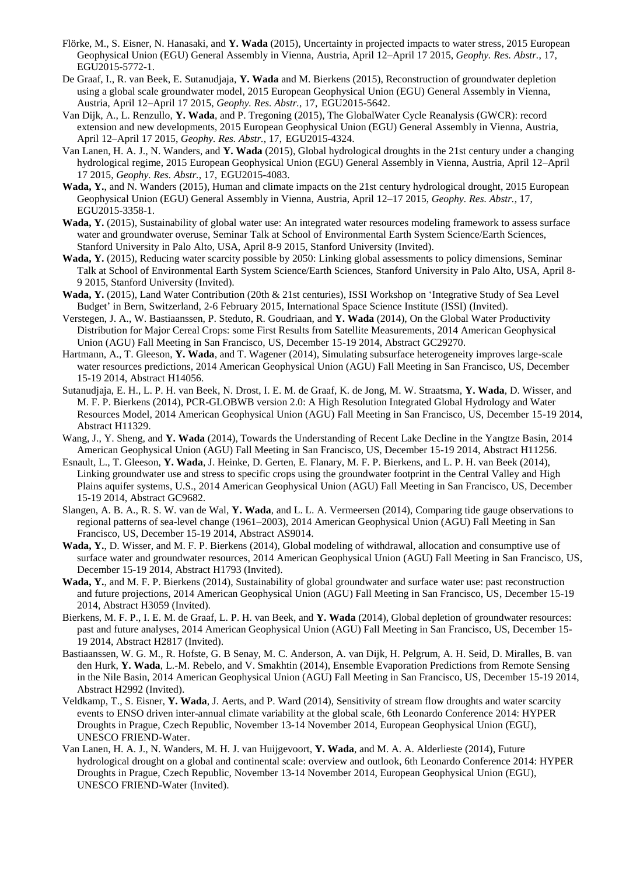- Flörke, M., S. Eisner, N. Hanasaki, and **Y. Wada** (2015), Uncertainty in projected impacts to water stress, 2015 European Geophysical Union (EGU) General Assembly in Vienna, Austria, April 12–April 17 2015, *Geophy. Res. Abstr.*, 17, EGU2015-5772-1.
- De Graaf, I., R. van Beek, E. Sutanudjaja, **Y. Wada** and M. Bierkens (2015), Reconstruction of groundwater depletion using a global scale groundwater model, 2015 European Geophysical Union (EGU) General Assembly in Vienna, Austria, April 12–April 17 2015, *Geophy. Res. Abstr.*, 17, EGU2015-5642.
- Van Dijk, A., L. Renzullo, **Y. Wada**, and P. Tregoning (2015), The GlobalWater Cycle Reanalysis (GWCR): record extension and new developments, 2015 European Geophysical Union (EGU) General Assembly in Vienna, Austria, April 12–April 17 2015, *Geophy. Res. Abstr.*, 17, EGU2015-4324.
- Van Lanen, H. A. J., N. Wanders, and **Y. Wada** (2015), Global hydrological droughts in the 21st century under a changing hydrological regime, 2015 European Geophysical Union (EGU) General Assembly in Vienna, Austria, April 12–April 17 2015, *Geophy. Res. Abstr.*, 17, EGU2015-4083.
- **Wada, Y.**, and N. Wanders (2015), Human and climate impacts on the 21st century hydrological drought, 2015 European Geophysical Union (EGU) General Assembly in Vienna, Austria, April 12–17 2015, *Geophy. Res. Abstr.*, 17, EGU2015-3358-1.
- **Wada, Y.** (2015), Sustainability of global water use: An integrated water resources modeling framework to assess surface water and groundwater overuse, Seminar Talk at School of Environmental Earth System Science/Earth Sciences, Stanford University in Palo Alto, USA, April 8-9 2015, Stanford University (Invited).
- **Wada, Y.** (2015), Reducing water scarcity possible by 2050: Linking global assessments to policy dimensions, Seminar Talk at School of Environmental Earth System Science/Earth Sciences, Stanford University in Palo Alto, USA, April 8- 9 2015, Stanford University (Invited).
- **Wada, Y.** (2015), Land Water Contribution (20th & 21st centuries), ISSI Workshop on 'Integrative Study of Sea Level Budget' in Bern, Switzerland, 2-6 February 2015, International Space Science Institute (ISSI) (Invited).
- Verstegen, J. A., W. Bastiaanssen, P. Steduto, R. Goudriaan, and **Y. Wada** (2014), On the Global Water Productivity Distribution for Major Cereal Crops: some First Results from Satellite Measurements, 2014 American Geophysical Union (AGU) Fall Meeting in San Francisco, US, December 15-19 2014, Abstract GC29270.
- Hartmann, A., T. Gleeson, **Y. Wada**, and T. Wagener (2014), Simulating subsurface heterogeneity improves large-scale water resources predictions, 2014 American Geophysical Union (AGU) Fall Meeting in San Francisco, US, December 15-19 2014, Abstract H14056.
- Sutanudjaja, E. H., L. P. H. van Beek, N. Drost, I. E. M. de Graaf, K. de Jong, M. W. Straatsma, **Y. Wada**, D. Wisser, and M. F. P. Bierkens (2014), PCR-GLOBWB version 2.0: A High Resolution Integrated Global Hydrology and Water Resources Model, 2014 American Geophysical Union (AGU) Fall Meeting in San Francisco, US, December 15-19 2014, Abstract H11329.
- Wang, J., Y. Sheng, and **Y. Wada** (2014), Towards the Understanding of Recent Lake Decline in the Yangtze Basin, 2014 American Geophysical Union (AGU) Fall Meeting in San Francisco, US, December 15-19 2014, Abstract H11256.
- Esnault, L., T. Gleeson, **Y. Wada**, J. Heinke, D. Gerten, E. Flanary, M. F. P. Bierkens, and L. P. H. van Beek (2014), Linking groundwater use and stress to specific crops using the groundwater footprint in the Central Valley and High Plains aquifer systems, U.S., 2014 American Geophysical Union (AGU) Fall Meeting in San Francisco, US, December 15-19 2014, Abstract GC9682.
- Slangen, A. B. A., R. S. W. van de Wal, **Y. Wada**, and L. L. A. Vermeersen (2014), Comparing tide gauge observations to regional patterns of sea-level change (1961–2003), 2014 American Geophysical Union (AGU) Fall Meeting in San Francisco, US, December 15-19 2014, Abstract AS9014.
- **Wada, Y.**, D. Wisser, and M. F. P. Bierkens (2014), Global modeling of withdrawal, allocation and consumptive use of surface water and groundwater resources, 2014 American Geophysical Union (AGU) Fall Meeting in San Francisco, US, December 15-19 2014, Abstract H1793 (Invited).
- **Wada, Y.**, and M. F. P. Bierkens (2014), Sustainability of global groundwater and surface water use: past reconstruction and future projections, 2014 American Geophysical Union (AGU) Fall Meeting in San Francisco, US, December 15-19 2014, Abstract H3059 (Invited).
- Bierkens, M. F. P., I. E. M. de Graaf, L. P. H. van Beek, and **Y. Wada** (2014), Global depletion of groundwater resources: past and future analyses, 2014 American Geophysical Union (AGU) Fall Meeting in San Francisco, US, December 15- 19 2014, Abstract H2817 (Invited).
- Bastiaanssen, W. G. M., R. Hofste, G. B Senay, M. C. Anderson, A. van Dijk, H. Pelgrum, A. H. Seid, D. Miralles, B. van den Hurk, **Y. Wada**, L.-M. Rebelo, and V. Smakhtin (2014), Ensemble Evaporation Predictions from Remote Sensing in the Nile Basin, 2014 American Geophysical Union (AGU) Fall Meeting in San Francisco, US, December 15-19 2014, Abstract H2992 (Invited).
- Veldkamp, T., S. Eisner, **Y. Wada**, J. Aerts, and P. Ward (2014), Sensitivity of stream flow droughts and water scarcity events to ENSO driven inter-annual climate variability at the global scale, 6th Leonardo Conference 2014: HYPER Droughts in Prague, Czech Republic, November 13-14 November 2014, European Geophysical Union (EGU), UNESCO FRIEND-Water.
- Van Lanen, H. A. J., N. Wanders, M. H. J. van Huijgevoort, **Y. Wada**, and M. A. A. Alderlieste (2014), Future hydrological drought on a global and continental scale: overview and outlook, 6th Leonardo Conference 2014: HYPER Droughts in Prague, Czech Republic, November 13-14 November 2014, European Geophysical Union (EGU), UNESCO FRIEND-Water (Invited).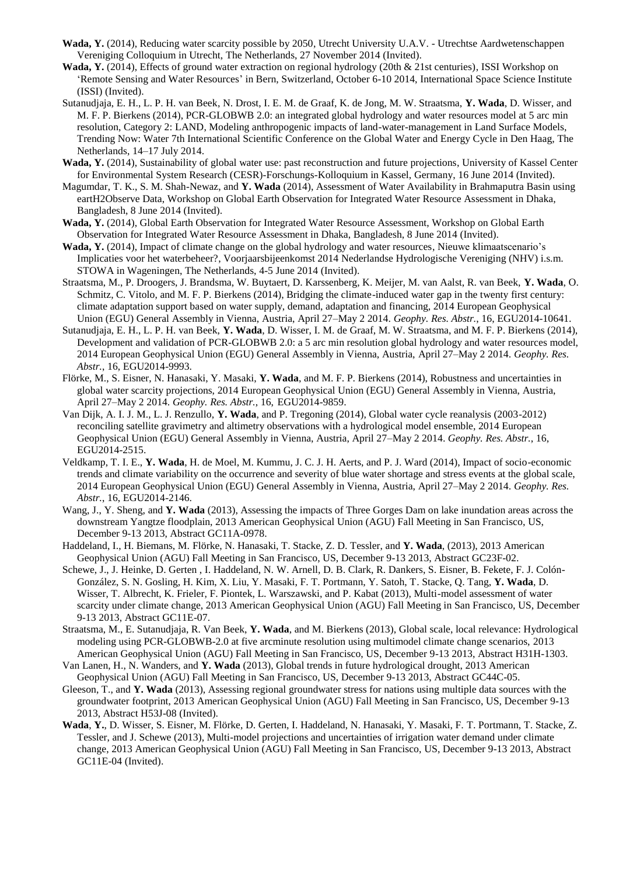- **Wada, Y.** (2014), Reducing water scarcity possible by 2050, Utrecht University U.A.V. Utrechtse Aardwetenschappen Vereniging Colloquium in Utrecht, The Netherlands, 27 November 2014 (Invited).
- **Wada, Y.** (2014), Effects of ground water extraction on regional hydrology (20th & 21st centuries), ISSI Workshop on 'Remote Sensing and Water Resources' in Bern, Switzerland, October 6-10 2014, International Space Science Institute (ISSI) (Invited).
- Sutanudjaja, E. H., L. P. H. van Beek, N. Drost, I. E. M. de Graaf, K. de Jong, M. W. Straatsma, **Y. Wada**, D. Wisser, and M. F. P. Bierkens (2014), PCR-GLOBWB 2.0: an integrated global hydrology and water resources model at 5 arc min resolution, Category 2: LAND, Modeling anthropogenic impacts of land-water-management in Land Surface Models, Trending Now: Water 7th International Scientific Conference on the Global Water and Energy Cycle in Den Haag, The Netherlands, 14–17 July 2014.
- **Wada, Y.** (2014), Sustainability of global water use: past reconstruction and future projections, University of Kassel Center for Environmental System Research (CESR)-Forschungs-Kolloquium in Kassel, Germany, 16 June 2014 (Invited).
- Magumdar, T. K., S. M. Shah-Newaz, and **Y. Wada** (2014), Assessment of Water Availability in Brahmaputra Basin using eartH2Observe Data, Workshop on Global Earth Observation for Integrated Water Resource Assessment in Dhaka, Bangladesh, 8 June 2014 (Invited).
- **Wada, Y.** (2014), Global Earth Observation for Integrated Water Resource Assessment, Workshop on Global Earth Observation for Integrated Water Resource Assessment in Dhaka, Bangladesh, 8 June 2014 (Invited).
- **Wada, Y.** (2014), Impact of climate change on the global hydrology and water resources, Nieuwe klimaatscenario's Implicaties voor het waterbeheer?, Voorjaarsbijeenkomst 2014 Nederlandse Hydrologische Vereniging (NHV) i.s.m. STOWA in Wageningen, The Netherlands, 4-5 June 2014 (Invited).
- Straatsma, M., P. Droogers, J. Brandsma, W. Buytaert, D. Karssenberg, K. Meijer, M. van Aalst, R. van Beek, **Y. Wada**, O. Schmitz, C. Vitolo, and M. F. P. Bierkens (2014), Bridging the climate-induced water gap in the twenty first century: climate adaptation support based on water supply, demand, adaptation and financing, 2014 European Geophysical Union (EGU) General Assembly in Vienna, Austria, April 27–May 2 2014. *Geophy. Res. Abstr.*, 16, EGU2014-10641.
- Sutanudjaja, E. H., L. P. H. van Beek, **Y. Wada**, D. Wisser, I. M. de Graaf, M. W. Straatsma, and M. F. P. Bierkens (2014), Development and validation of PCR-GLOBWB 2.0: a 5 arc min resolution global hydrology and water resources model, 2014 European Geophysical Union (EGU) General Assembly in Vienna, Austria, April 27–May 2 2014. *Geophy. Res. Abstr.*, 16, EGU2014-9993.
- Flörke, M., S. Eisner, N. Hanasaki, Y. Masaki, **Y. Wada**, and M. F. P. Bierkens (2014), Robustness and uncertainties in global water scarcity projections, 2014 European Geophysical Union (EGU) General Assembly in Vienna, Austria, April 27–May 2 2014. *Geophy. Res. Abstr.*, 16, EGU2014-9859.
- Van Dijk, A. I. J. M., L. J. Renzullo, **Y. Wada**, and P. Tregoning (2014), Global water cycle reanalysis (2003-2012) reconciling satellite gravimetry and altimetry observations with a hydrological model ensemble, 2014 European Geophysical Union (EGU) General Assembly in Vienna, Austria, April 27–May 2 2014. *Geophy. Res. Abstr.*, 16, EGU2014-2515.
- Veldkamp, T. I. E., **Y. Wada**, H. de Moel, M. Kummu, J. C. J. H. Aerts, and P. J. Ward (2014), Impact of socio-economic trends and climate variability on the occurrence and severity of blue water shortage and stress events at the global scale, 2014 European Geophysical Union (EGU) General Assembly in Vienna, Austria, April 27–May 2 2014. *Geophy. Res. Abstr.*, 16, EGU2014-2146.
- Wang, J., Y. Sheng, and Y. Wada (2013), Assessing the impacts of Three Gorges Dam on lake inundation areas across the downstream Yangtze floodplain, 2013 American Geophysical Union (AGU) Fall Meeting in San Francisco, US, December 9-13 2013, Abstract GC11A-0978.
- Haddeland, I., H. Biemans, M. Flörke, N. Hanasaki, T. Stacke, Z. D. Tessler, and **Y. Wada**, (2013), 2013 American Geophysical Union (AGU) Fall Meeting in San Francisco, US, December 9-13 2013, Abstract GC23F-02.
- Schewe, J., J. Heinke, D. Gerten , I. Haddeland, N. W. Arnell, D. B. Clark, R. Dankers, S. Eisner, B. Fekete, F. J. Colón-González, S. N. Gosling, H. Kim, X. Liu, Y. Masaki, F. T. Portmann, Y. Satoh, T. Stacke, Q. Tang, **Y. Wada**, D. Wisser, T. Albrecht, K. Frieler, F. Piontek, L. Warszawski, and P. Kabat (2013), Multi-model assessment of water scarcity under climate change, 2013 American Geophysical Union (AGU) Fall Meeting in San Francisco, US, December 9-13 2013, Abstract GC11E-07.
- Straatsma, M., E. Sutanudjaja, R. Van Beek, **Y. Wada**, and M. Bierkens (2013), Global scale, local relevance: Hydrological modeling using PCR-GLOBWB-2.0 at five arcminute resolution using multimodel climate change scenarios, 2013 American Geophysical Union (AGU) Fall Meeting in San Francisco, US, December 9-13 2013, Abstract H31H-1303.
- Van Lanen, H., N. Wanders, and **Y. Wada** (2013), Global trends in future hydrological drought, 2013 American Geophysical Union (AGU) Fall Meeting in San Francisco, US, December 9-13 2013, Abstract GC44C-05.
- Gleeson, T., and **Y. Wada** (2013), Assessing regional groundwater stress for nations using multiple data sources with the groundwater footprint, 2013 American Geophysical Union (AGU) Fall Meeting in San Francisco, US, December 9-13 2013, Abstract H53J-08 (Invited).
- **Wada**, **Y.**, D. Wisser, S. Eisner, M. Flörke, D. Gerten, I. Haddeland, N. Hanasaki, Y. Masaki, F. T. Portmann, T. Stacke, Z. Tessler, and J. Schewe (2013), Multi-model projections and uncertainties of irrigation water demand under climate change, 2013 American Geophysical Union (AGU) Fall Meeting in San Francisco, US, December 9-13 2013, Abstract GC11E-04 (Invited).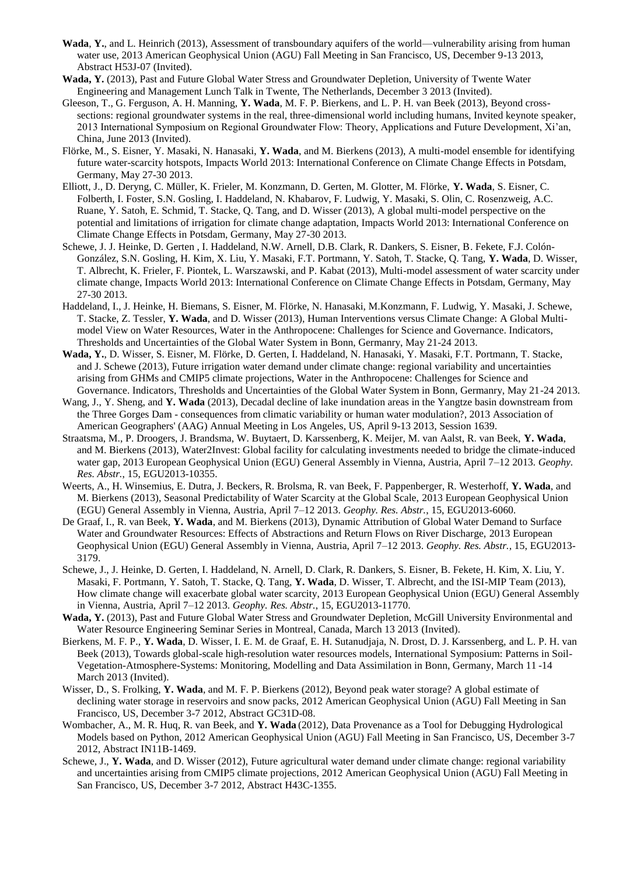- **Wada**, **Y.**, and L. Heinrich (2013), Assessment of transboundary aquifers of the world—vulnerability arising from human water use, 2013 American Geophysical Union (AGU) Fall Meeting in San Francisco, US, December 9-13 2013, Abstract H53J-07 (Invited).
- **Wada, Y.** (2013), Past and Future Global Water Stress and Groundwater Depletion, University of Twente Water Engineering and Management Lunch Talk in Twente, The Netherlands, December 3 2013 (Invited).
- Gleeson, T., G. Ferguson, A. H. Manning, **Y. Wada**, M. F. P. Bierkens, and L. P. H. van Beek (2013), Beyond crosssections: regional groundwater systems in the real, three-dimensional world including humans, Invited keynote speaker, 2013 International Symposium on Regional Groundwater Flow: Theory, Applications and Future Development, Xi'an, China, June 2013 (Invited).
- Flörke, M., S. Eisner, Y. Masaki, N. Hanasaki, **Y. Wada**, and M. Bierkens (2013), A multi-model ensemble for identifying future water-scarcity hotspots, Impacts World 2013: International Conference on Climate Change Effects in Potsdam, Germany, May 27-30 2013.
- Elliott, J., D. Deryng, C. Müller, K. Frieler, M. Konzmann, D. Gerten, M. Glotter, M. Flörke, **Y. Wada**, S. Eisner, C. Folberth, I. Foster, S.N. Gosling, I. Haddeland, N. Khabarov, F. Ludwig, Y. Masaki, S. Olin, C. Rosenzweig, A.C. Ruane, Y. Satoh, E. Schmid, T. Stacke, Q. Tang, and D. Wisser (2013), A global multi-model perspective on the potential and limitations of irrigation for climate change adaptation, Impacts World 2013: International Conference on Climate Change Effects in Potsdam, Germany, May 27-30 2013.
- Schewe, J. J. Heinke, D. Gerten , I. Haddeland, N.W. Arnell, D.B. Clark, R. Dankers, S. Eisner, B. Fekete, F.J. Colón-González, S.N. Gosling, H. Kim, X. Liu, Y. Masaki, F.T. Portmann, Y. Satoh, T. Stacke, Q. Tang, **Y. Wada**, D. Wisser, T. Albrecht, K. Frieler, F. Piontek, L. Warszawski, and P. Kabat (2013), Multi-model assessment of water scarcity under climate change, Impacts World 2013: International Conference on Climate Change Effects in Potsdam, Germany, May 27-30 2013.
- Haddeland, I., J. Heinke, H. Biemans, S. Eisner, M. Flörke, N. Hanasaki, M.Konzmann, F. Ludwig, Y. Masaki, J. Schewe, T. Stacke, Z. Tessler, **Y. Wada**, and D. Wisser (2013), Human Interventions versus Climate Change: A Global Multimodel View on Water Resources, Water in the Anthropocene: Challenges for Science and Governance. Indicators, Thresholds and Uncertainties of the Global Water System in Bonn, Germanry, May 21-24 2013.
- **Wada, Y.**, D. Wisser, S. Eisner, M. Flörke, D. Gerten, I. Haddeland, N. Hanasaki, Y. Masaki, F.T. Portmann, T. Stacke, and J. Schewe (2013), Future irrigation water demand under climate change: regional variability and uncertainties arising from GHMs and CMIP5 climate projections, Water in the Anthropocene: Challenges for Science and Governance. Indicators, Thresholds and Uncertainties of the Global Water System in Bonn, Germanry, May 21-24 2013.
- Wang, J., Y. Sheng, and **Y. Wada** (2013), Decadal decline of lake inundation areas in the Yangtze basin downstream from the Three Gorges Dam - consequences from climatic variability or human water modulation?, 2013 Association of American Geographers' (AAG) Annual Meeting in Los Angeles, US, April 9-13 2013, Session 1639.
- Straatsma, M., P. Droogers, J. Brandsma, W. Buytaert, D. Karssenberg, K. Meijer, M. van Aalst, R. van Beek, **Y. Wada**, and M. Bierkens (2013), Water2Invest: Global facility for calculating investments needed to bridge the climate-induced water gap, 2013 European Geophysical Union (EGU) General Assembly in Vienna, Austria, April 7–12 2013. *Geophy. Res. Abstr.*, 15, EGU2013-10355.
- Weerts, A., H. Winsemius, E. Dutra, J. Beckers, R. Brolsma, R. van Beek, F. Pappenberger, R. Westerhoff, **Y. Wada**, and M. Bierkens (2013), Seasonal Predictability of Water Scarcity at the Global Scale, 2013 European Geophysical Union (EGU) General Assembly in Vienna, Austria, April 7–12 2013. *Geophy. Res. Abstr.*, 15, EGU2013-6060.
- De Graaf, I., R. van Beek, **Y. Wada**, and M. Bierkens (2013), Dynamic Attribution of Global Water Demand to Surface Water and Groundwater Resources: Effects of Abstractions and Return Flows on River Discharge, 2013 European Geophysical Union (EGU) General Assembly in Vienna, Austria, April 7–12 2013. *Geophy. Res. Abstr.*, 15, EGU2013- 3179.
- Schewe, J., J. Heinke, D. Gerten, I. Haddeland, N. Arnell, D. Clark, R. Dankers, S. Eisner, B. Fekete, H. Kim, X. Liu, Y. Masaki, F. Portmann, Y. Satoh, T. Stacke, Q. Tang, **Y. Wada**, D. Wisser, T. Albrecht, and the ISI-MIP Team (2013), How climate change will exacerbate global water scarcity, 2013 European Geophysical Union (EGU) General Assembly in Vienna, Austria, April 7–12 2013. *Geophy. Res. Abstr.*, 15, EGU2013-11770.
- **Wada, Y.** (2013), Past and Future Global Water Stress and Groundwater Depletion, McGill University Environmental and Water Resource Engineering Seminar Series in Montreal, Canada, March 13 2013 (Invited).
- Bierkens, M. F. P., **Y. Wada**, D. Wisser, I. E. M. de Graaf, E. H. Sutanudjaja, N. Drost, D. J. Karssenberg, and L. P. H. van Beek (2013), Towards global-scale high-resolution water resources models, International Symposium: Patterns in Soil-Vegetation-Atmosphere-Systems: Monitoring, Modelling and Data Assimilation in Bonn, Germany, March 11 -14 March 2013 (Invited).
- Wisser, D., S. Frolking, **Y. Wada**, and M. F. P. Bierkens (2012), Beyond peak water storage? A global estimate of declining water storage in reservoirs and snow packs, 2012 American Geophysical Union (AGU) Fall Meeting in San Francisco, US, December 3-7 2012, Abstract GC31D-08.
- Wombacher, A., M. R. Huq, R. van Beek, and **Y. Wada** (2012), Data Provenance as a Tool for Debugging Hydrological Models based on Python, 2012 American Geophysical Union (AGU) Fall Meeting in San Francisco, US, December 3-7 2012, Abstract IN11B-1469.
- Schewe, J., **Y. Wada**, and D. Wisser (2012), Future agricultural water demand under climate change: regional variability and uncertainties arising from CMIP5 climate projections, 2012 American Geophysical Union (AGU) Fall Meeting in San Francisco, US, December 3-7 2012, Abstract H43C-1355.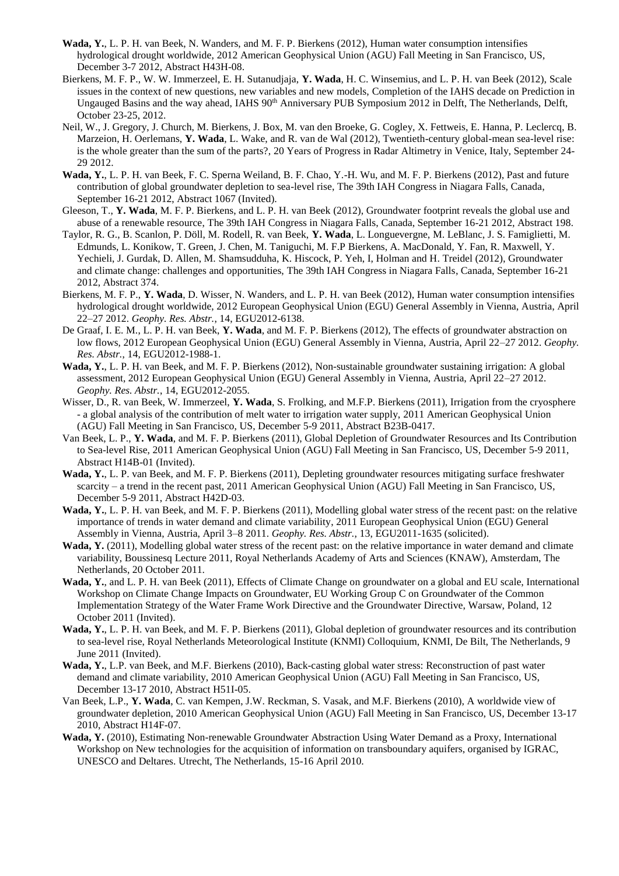- **Wada, Y.**, L. P. H. van Beek, N. Wanders, and M. F. P. Bierkens (2012), Human water consumption intensifies hydrological drought worldwide, 2012 American Geophysical Union (AGU) Fall Meeting in San Francisco, US, December 3-7 2012, Abstract H43H-08.
- Bierkens, M. F. P., W. W. Immerzeel, E. H. Sutanudjaja, **Y. Wada**, H. C. Winsemius, and L. P. H. van Beek (2012), Scale issues in the context of new questions, new variables and new models, Completion of the IAHS decade on Prediction in Ungauged Basins and the way ahead, IAHS 90<sup>th</sup> Anniversary PUB Symposium 2012 in Delft, The Netherlands, Delft, October 23-25, 2012.
- Neil, W., J. Gregory, J. Church, M. Bierkens, J. Box, M. van den Broeke, G. Cogley, X. Fettweis, E. Hanna, P. Leclercq, B. Marzeion, H. Oerlemans, **Y. Wada**, L. Wake, and R. van de Wal (2012), Twentieth-century global-mean sea-level rise: is the whole greater than the sum of the parts?, 20 Years of Progress in Radar Altimetry in Venice, Italy, September 24- 29 2012.
- **Wada, Y.**, L. P. H. van Beek, F. C. Sperna Weiland, B. F. Chao, Y.-H. Wu, and M. F. P. Bierkens (2012), Past and future contribution of global groundwater depletion to sea-level rise, The 39th IAH Congress in Niagara Falls, Canada, September 16-21 2012, Abstract 1067 (Invited).
- Gleeson, T., **Y. Wada**, M. F. P. Bierkens, and L. P. H. van Beek (2012), Groundwater footprint reveals the global use and abuse of a renewable resource, The 39th IAH Congress in Niagara Falls, Canada, September 16-21 2012, Abstract 198.
- Taylor, R. G., B. Scanlon, P. Döll, M. Rodell, R. van Beek, **Y. Wada**, L. Longuevergne, M. LeBlanc, J. S. Famiglietti, M. Edmunds, L. Konikow, T. Green, J. Chen, M. Taniguchi, M. F.P Bierkens, A. MacDonald, Y. Fan, R. Maxwell, Y. Yechieli, J. Gurdak, D. Allen, M. Shamsudduha, K. Hiscock, P. Yeh, I, Holman and H. Treidel (2012), Groundwater and climate change: challenges and opportunities, The 39th IAH Congress in Niagara Falls, Canada, September 16-21 2012, Abstract 374.
- Bierkens, M. F. P., **Y. Wada**, D. Wisser, N. Wanders, and L. P. H. van Beek (2012), Human water consumption intensifies hydrological drought worldwide, 2012 European Geophysical Union (EGU) General Assembly in Vienna, Austria, April 22–27 2012. *Geophy. Res. Abstr.*, 14, EGU2012-6138.
- De Graaf, I. E. M., L. P. H. van Beek, **Y. Wada**, and M. F. P. Bierkens (2012), The effects of groundwater abstraction on low flows, 2012 European Geophysical Union (EGU) General Assembly in Vienna, Austria, April 22–27 2012. *Geophy. Res. Abstr.*, 14, EGU2012-1988-1.
- **Wada, Y.**, L. P. H. van Beek, and M. F. P. Bierkens (2012), Non-sustainable groundwater sustaining irrigation: A global assessment, 2012 European Geophysical Union (EGU) General Assembly in Vienna, Austria, April 22–27 2012. *Geophy. Res. Abstr.*, 14, EGU2012-2055.
- Wisser, D., R. van Beek, W. Immerzeel, **Y. Wada**, S. Frolking, and M.F.P. Bierkens (2011), Irrigation from the cryosphere - a global analysis of the contribution of melt water to irrigation water supply, 2011 American Geophysical Union (AGU) Fall Meeting in San Francisco, US, December 5-9 2011, Abstract B23B-0417.
- Van Beek, L. P., **Y. Wada**, and M. F. P. Bierkens (2011), Global Depletion of Groundwater Resources and Its Contribution to Sea-level Rise, 2011 American Geophysical Union (AGU) Fall Meeting in San Francisco, US, December 5-9 2011, Abstract H14B-01 (Invited).
- **Wada, Y.**, L. P. van Beek, and M. F. P. Bierkens (2011), Depleting groundwater resources mitigating surface freshwater scarcity – a trend in the recent past, 2011 American Geophysical Union (AGU) Fall Meeting in San Francisco, US, December 5-9 2011, Abstract H42D-03.
- **Wada, Y.**, L. P. H. van Beek, and M. F. P. Bierkens (2011), Modelling global water stress of the recent past: on the relative importance of trends in water demand and climate variability, 2011 European Geophysical Union (EGU) General Assembly in Vienna, Austria, April 3–8 2011. *Geophy. Res. Abstr.*, 13, EGU2011-1635 (solicited).
- **Wada, Y.** (2011), Modelling global water stress of the recent past: on the relative importance in water demand and climate variability, Boussinesq Lecture 2011, Royal Netherlands Academy of Arts and Sciences (KNAW), Amsterdam, The Netherlands, 20 October 2011.
- **Wada, Y.**, and L. P. H. van Beek (2011), Effects of Climate Change on groundwater on a global and EU scale, International Workshop on Climate Change Impacts on Groundwater, EU Working Group C on Groundwater of the Common Implementation Strategy of the Water Frame Work Directive and the Groundwater Directive, Warsaw, Poland, 12 October 2011 (Invited).
- **Wada, Y.**, L. P. H. van Beek, and M. F. P. Bierkens (2011), Global depletion of groundwater resources and its contribution to sea-level rise, Royal Netherlands Meteorological Institute (KNMI) Colloquium, KNMI, De Bilt, The Netherlands, 9 June 2011 (Invited).
- **Wada, Y.**, L.P. van Beek, and M.F. Bierkens (2010), Back-casting global water stress: Reconstruction of past water demand and climate variability, 2010 American Geophysical Union (AGU) Fall Meeting in San Francisco, US, December 13-17 2010, Abstract H51I-05.
- Van Beek, L.P., **Y. Wada**, C. van Kempen, J.W. Reckman, S. Vasak, and M.F. Bierkens (2010), A worldwide view of groundwater depletion, 2010 American Geophysical Union (AGU) Fall Meeting in San Francisco, US, December 13-17 2010, Abstract H14F-07.
- **Wada, Y.** (2010), Estimating Non-renewable Groundwater Abstraction Using Water Demand as a Proxy, International Workshop on New technologies for the acquisition of information on transboundary aquifers, organised by IGRAC, UNESCO and Deltares. Utrecht, The Netherlands, 15-16 April 2010.